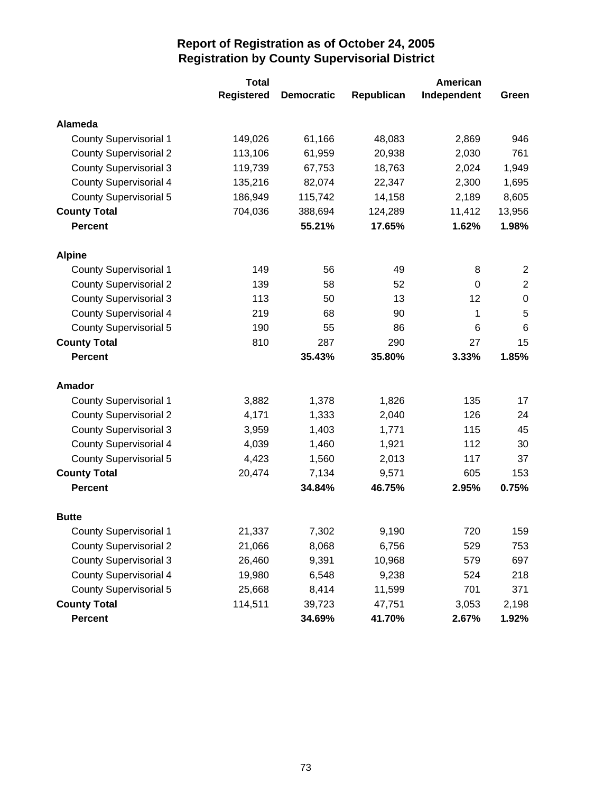|                               | <b>Total</b>      |                   | American   |             |                |  |
|-------------------------------|-------------------|-------------------|------------|-------------|----------------|--|
|                               | <b>Registered</b> | <b>Democratic</b> | Republican | Independent | Green          |  |
| Alameda                       |                   |                   |            |             |                |  |
| <b>County Supervisorial 1</b> | 149,026           | 61,166            | 48,083     | 2,869       | 946            |  |
| <b>County Supervisorial 2</b> | 113,106           | 61,959            | 20,938     | 2,030       | 761            |  |
| <b>County Supervisorial 3</b> | 119,739           | 67,753            | 18,763     | 2,024       | 1,949          |  |
| <b>County Supervisorial 4</b> | 135,216           | 82,074            | 22,347     | 2,300       | 1,695          |  |
| <b>County Supervisorial 5</b> | 186,949           | 115,742           | 14,158     | 2,189       | 8,605          |  |
| <b>County Total</b>           | 704,036           | 388,694           | 124,289    | 11,412      | 13,956         |  |
| <b>Percent</b>                |                   | 55.21%            | 17.65%     | 1.62%       | 1.98%          |  |
| <b>Alpine</b>                 |                   |                   |            |             |                |  |
| <b>County Supervisorial 1</b> | 149               | 56                | 49         | 8           | $\overline{2}$ |  |
| <b>County Supervisorial 2</b> | 139               | 58                | 52         | 0           | $\overline{2}$ |  |
| <b>County Supervisorial 3</b> | 113               | 50                | 13         | 12          | $\mathbf 0$    |  |
| <b>County Supervisorial 4</b> | 219               | 68                | 90         | 1           | 5              |  |
| <b>County Supervisorial 5</b> | 190               | 55                | 86         | 6           | 6              |  |
| <b>County Total</b>           | 810               | 287               | 290        | 27          | 15             |  |
| <b>Percent</b>                |                   | 35.43%            | 35.80%     | 3.33%       | 1.85%          |  |
| Amador                        |                   |                   |            |             |                |  |
| <b>County Supervisorial 1</b> | 3,882             | 1,378             | 1,826      | 135         | 17             |  |
| <b>County Supervisorial 2</b> | 4,171             | 1,333             | 2,040      | 126         | 24             |  |
| <b>County Supervisorial 3</b> | 3,959             | 1,403             | 1,771      | 115         | 45             |  |
| <b>County Supervisorial 4</b> | 4,039             | 1,460             | 1,921      | 112         | 30             |  |
| <b>County Supervisorial 5</b> | 4,423             | 1,560             | 2,013      | 117         | 37             |  |
| <b>County Total</b>           | 20,474            | 7,134             | 9,571      | 605         | 153            |  |
| <b>Percent</b>                |                   | 34.84%            | 46.75%     | 2.95%       | 0.75%          |  |
| <b>Butte</b>                  |                   |                   |            |             |                |  |
| <b>County Supervisorial 1</b> | 21,337            | 7,302             | 9,190      | 720         | 159            |  |
| <b>County Supervisorial 2</b> | 21,066            | 8,068             | 6,756      | 529         | 753            |  |
| <b>County Supervisorial 3</b> | 26,460            | 9,391             | 10,968     | 579         | 697            |  |
| <b>County Supervisorial 4</b> | 19,980            | 6,548             | 9,238      | 524         | 218            |  |
| <b>County Supervisorial 5</b> | 25,668            | 8,414             | 11,599     | 701         | 371            |  |
| <b>County Total</b>           | 114,511           | 39,723            | 47,751     | 3,053       | 2,198          |  |
| Percent                       |                   | 34.69%            | 41.70%     | 2.67%       | 1.92%          |  |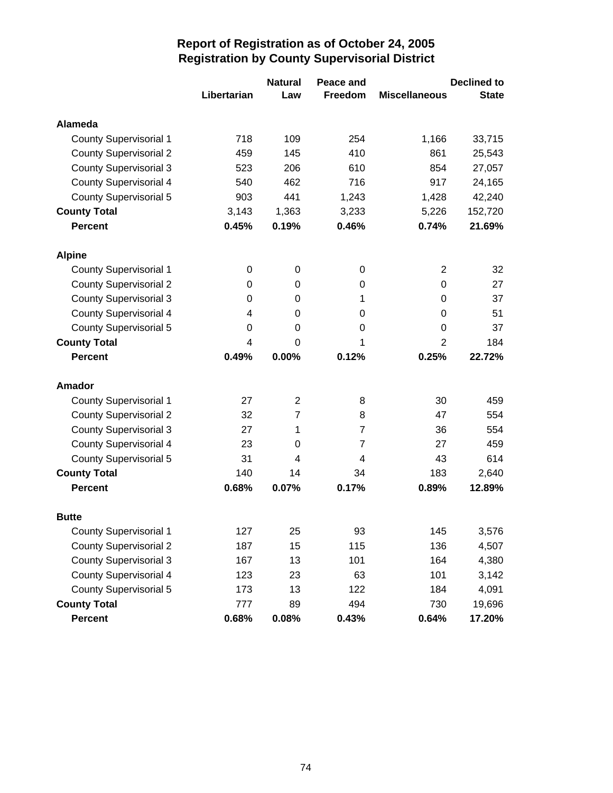|                               |             | <b>Natural</b> | Peace and      |                      | <b>Declined to</b> |
|-------------------------------|-------------|----------------|----------------|----------------------|--------------------|
|                               | Libertarian | Law            | Freedom        | <b>Miscellaneous</b> | <b>State</b>       |
| Alameda                       |             |                |                |                      |                    |
| <b>County Supervisorial 1</b> | 718         | 109            | 254            | 1,166                | 33,715             |
| <b>County Supervisorial 2</b> | 459         | 145            | 410            | 861                  | 25,543             |
| <b>County Supervisorial 3</b> | 523         | 206            | 610            | 854                  | 27,057             |
| <b>County Supervisorial 4</b> | 540         | 462            | 716            | 917                  | 24,165             |
| <b>County Supervisorial 5</b> | 903         | 441            | 1,243          | 1,428                | 42,240             |
| <b>County Total</b>           | 3,143       | 1,363          | 3,233          | 5,226                | 152,720            |
| <b>Percent</b>                | 0.45%       | 0.19%          | 0.46%          | 0.74%                | 21.69%             |
| <b>Alpine</b>                 |             |                |                |                      |                    |
| <b>County Supervisorial 1</b> | 0           | 0              | 0              | $\overline{2}$       | 32                 |
| <b>County Supervisorial 2</b> | 0           | 0              | 0              | 0                    | 27                 |
| <b>County Supervisorial 3</b> | 0           | 0              | 1              | 0                    | 37                 |
| <b>County Supervisorial 4</b> | 4           | 0              | 0              | 0                    | 51                 |
| <b>County Supervisorial 5</b> | 0           | 0              | 0              | 0                    | 37                 |
| <b>County Total</b>           | 4           | 0              | 1              | $\overline{2}$       | 184                |
| <b>Percent</b>                | 0.49%       | 0.00%          | 0.12%          | 0.25%                | 22.72%             |
| <b>Amador</b>                 |             |                |                |                      |                    |
| <b>County Supervisorial 1</b> | 27          | $\overline{2}$ | 8              | 30                   | 459                |
| <b>County Supervisorial 2</b> | 32          | $\overline{7}$ | 8              | 47                   | 554                |
| <b>County Supervisorial 3</b> | 27          | 1              | $\overline{7}$ | 36                   | 554                |
| <b>County Supervisorial 4</b> | 23          | 0              | 7              | 27                   | 459                |
| <b>County Supervisorial 5</b> | 31          | 4              | 4              | 43                   | 614                |
| <b>County Total</b>           | 140         | 14             | 34             | 183                  | 2,640              |
| <b>Percent</b>                | 0.68%       | 0.07%          | 0.17%          | 0.89%                | 12.89%             |
| <b>Butte</b>                  |             |                |                |                      |                    |
| <b>County Supervisorial 1</b> | 127         | 25             | 93             | 145                  | 3,576              |
| <b>County Supervisorial 2</b> | 187         | 15             | 115            | 136                  | 4,507              |
| <b>County Supervisorial 3</b> | 167         | 13             | 101            | 164                  | 4,380              |
| <b>County Supervisorial 4</b> | 123         | 23             | 63             | 101                  | 3,142              |
| <b>County Supervisorial 5</b> | 173         | 13             | 122            | 184                  | 4,091              |
| <b>County Total</b>           | 777         | 89             | 494            | 730                  | 19,696             |
| <b>Percent</b>                | 0.68%       | 0.08%          | 0.43%          | 0.64%                | 17.20%             |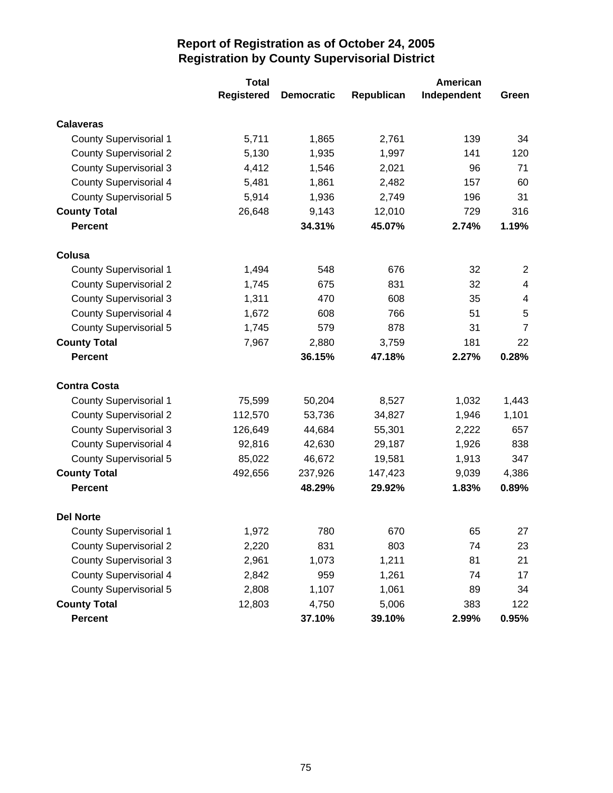|                               | <b>Total</b>      |                   | American   |             |                         |  |
|-------------------------------|-------------------|-------------------|------------|-------------|-------------------------|--|
|                               | <b>Registered</b> | <b>Democratic</b> | Republican | Independent | Green                   |  |
| <b>Calaveras</b>              |                   |                   |            |             |                         |  |
| <b>County Supervisorial 1</b> | 5,711             | 1,865             | 2,761      | 139         | 34                      |  |
| <b>County Supervisorial 2</b> | 5,130             | 1,935             | 1,997      | 141         | 120                     |  |
| <b>County Supervisorial 3</b> | 4,412             | 1,546             | 2,021      | 96          | 71                      |  |
| <b>County Supervisorial 4</b> | 5,481             | 1,861             | 2,482      | 157         | 60                      |  |
| <b>County Supervisorial 5</b> | 5,914             | 1,936             | 2,749      | 196         | 31                      |  |
| <b>County Total</b>           | 26,648            | 9,143             | 12,010     | 729         | 316                     |  |
| <b>Percent</b>                |                   | 34.31%            | 45.07%     | 2.74%       | 1.19%                   |  |
| Colusa                        |                   |                   |            |             |                         |  |
| <b>County Supervisorial 1</b> | 1,494             | 548               | 676        | 32          | $\overline{2}$          |  |
| <b>County Supervisorial 2</b> | 1,745             | 675               | 831        | 32          | $\overline{\mathbf{4}}$ |  |
| <b>County Supervisorial 3</b> | 1,311             | 470               | 608        | 35          | $\overline{\mathbf{4}}$ |  |
| <b>County Supervisorial 4</b> | 1,672             | 608               | 766        | 51          | 5                       |  |
| <b>County Supervisorial 5</b> | 1,745             | 579               | 878        | 31          | $\overline{7}$          |  |
| <b>County Total</b>           | 7,967             | 2,880             | 3,759      | 181         | 22                      |  |
| <b>Percent</b>                |                   | 36.15%            | 47.18%     | 2.27%       | 0.28%                   |  |
| <b>Contra Costa</b>           |                   |                   |            |             |                         |  |
| <b>County Supervisorial 1</b> | 75,599            | 50,204            | 8,527      | 1,032       | 1,443                   |  |
| <b>County Supervisorial 2</b> | 112,570           | 53,736            | 34,827     | 1,946       | 1,101                   |  |
| <b>County Supervisorial 3</b> | 126,649           | 44,684            | 55,301     | 2,222       | 657                     |  |
| <b>County Supervisorial 4</b> | 92,816            | 42,630            | 29,187     | 1,926       | 838                     |  |
| <b>County Supervisorial 5</b> | 85,022            | 46,672            | 19,581     | 1,913       | 347                     |  |
| <b>County Total</b>           | 492,656           | 237,926           | 147,423    | 9,039       | 4,386                   |  |
| <b>Percent</b>                |                   | 48.29%            | 29.92%     | 1.83%       | 0.89%                   |  |
| <b>Del Norte</b>              |                   |                   |            |             |                         |  |
| County Supervisorial 1        | 1,972             | 780               | 670        | 65          | 27                      |  |
| <b>County Supervisorial 2</b> | 2,220             | 831               | 803        | 74          | 23                      |  |
| <b>County Supervisorial 3</b> | 2,961             | 1,073             | 1,211      | 81          | 21                      |  |
| <b>County Supervisorial 4</b> | 2,842             | 959               | 1,261      | 74          | 17                      |  |
| <b>County Supervisorial 5</b> | 2,808             | 1,107             | 1,061      | 89          | 34                      |  |
| <b>County Total</b>           | 12,803            | 4,750             | 5,006      | 383         | 122                     |  |
| Percent                       |                   | 37.10%            | 39.10%     | 2.99%       | 0.95%                   |  |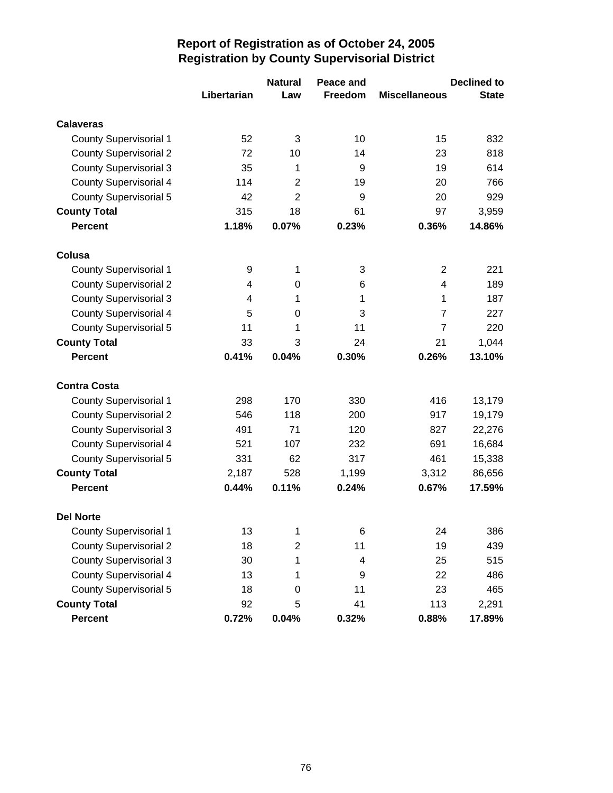|                               |             | <b>Natural</b> | Peace and      |                      | <b>Declined to</b> |
|-------------------------------|-------------|----------------|----------------|----------------------|--------------------|
|                               | Libertarian | Law            | <b>Freedom</b> | <b>Miscellaneous</b> | <b>State</b>       |
| <b>Calaveras</b>              |             |                |                |                      |                    |
| <b>County Supervisorial 1</b> | 52          | 3              | 10             | 15                   | 832                |
| <b>County Supervisorial 2</b> | 72          | 10             | 14             | 23                   | 818                |
| <b>County Supervisorial 3</b> | 35          | 1              | 9              | 19                   | 614                |
| <b>County Supervisorial 4</b> | 114         | $\overline{2}$ | 19             | 20                   | 766                |
| <b>County Supervisorial 5</b> | 42          | $\overline{2}$ | 9              | 20                   | 929                |
| <b>County Total</b>           | 315         | 18             | 61             | 97                   | 3,959              |
| <b>Percent</b>                | 1.18%       | 0.07%          | 0.23%          | 0.36%                | 14.86%             |
| Colusa                        |             |                |                |                      |                    |
| <b>County Supervisorial 1</b> | 9           | 1              | 3              | $\overline{2}$       | 221                |
| <b>County Supervisorial 2</b> | 4           | 0              | 6              | 4                    | 189                |
| <b>County Supervisorial 3</b> | 4           | 1              | 1              | 1                    | 187                |
| <b>County Supervisorial 4</b> | 5           | 0              | 3              | 7                    | 227                |
| <b>County Supervisorial 5</b> | 11          | 1              | 11             | $\overline{7}$       | 220                |
| <b>County Total</b>           | 33          | 3              | 24             | 21                   | 1,044              |
| <b>Percent</b>                | 0.41%       | 0.04%          | 0.30%          | 0.26%                | 13.10%             |
| <b>Contra Costa</b>           |             |                |                |                      |                    |
| <b>County Supervisorial 1</b> | 298         | 170            | 330            | 416                  | 13,179             |
| <b>County Supervisorial 2</b> | 546         | 118            | 200            | 917                  | 19,179             |
| <b>County Supervisorial 3</b> | 491         | 71             | 120            | 827                  | 22,276             |
| County Supervisorial 4        | 521         | 107            | 232            | 691                  | 16,684             |
| <b>County Supervisorial 5</b> | 331         | 62             | 317            | 461                  | 15,338             |
| <b>County Total</b>           | 2,187       | 528            | 1,199          | 3,312                | 86,656             |
| <b>Percent</b>                | 0.44%       | 0.11%          | 0.24%          | 0.67%                | 17.59%             |
| <b>Del Norte</b>              |             |                |                |                      |                    |
| <b>County Supervisorial 1</b> | 13          | 1              | 6              | 24                   | 386                |
| <b>County Supervisorial 2</b> | 18          | $\overline{c}$ | 11             | 19                   | 439                |
| <b>County Supervisorial 3</b> | 30          | 1              | 4              | 25                   | 515                |
| <b>County Supervisorial 4</b> | 13          | 1              | 9              | 22                   | 486                |
| <b>County Supervisorial 5</b> | 18          | 0              | 11             | 23                   | 465                |
| <b>County Total</b>           | 92          | 5              | 41             | 113                  | 2,291              |
| Percent                       | 0.72%       | 0.04%          | 0.32%          | 0.88%                | 17.89%             |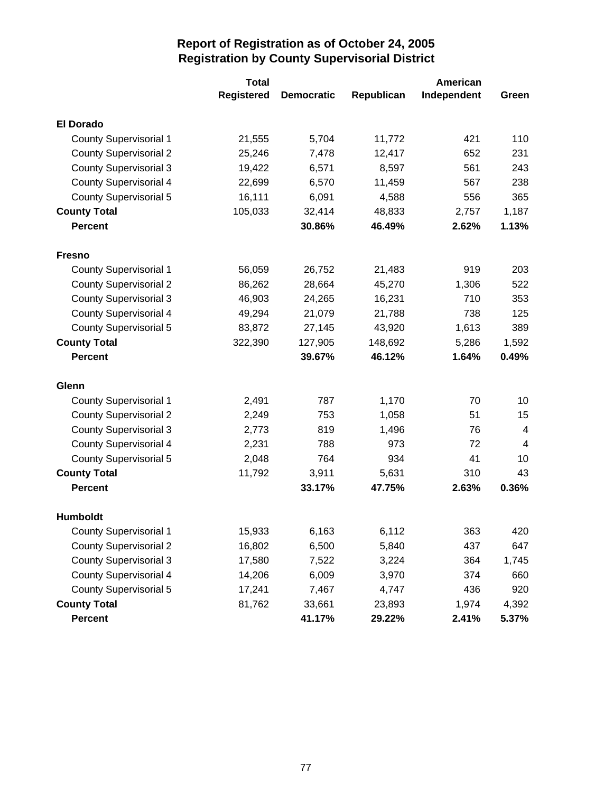|                               | <b>Total</b>      |                   | American   |             |                |  |
|-------------------------------|-------------------|-------------------|------------|-------------|----------------|--|
|                               | <b>Registered</b> | <b>Democratic</b> | Republican | Independent | Green          |  |
| <b>El Dorado</b>              |                   |                   |            |             |                |  |
| <b>County Supervisorial 1</b> | 21,555            | 5,704             | 11,772     | 421         | 110            |  |
| <b>County Supervisorial 2</b> | 25,246            | 7,478             | 12,417     | 652         | 231            |  |
| <b>County Supervisorial 3</b> | 19,422            | 6,571             | 8,597      | 561         | 243            |  |
| <b>County Supervisorial 4</b> | 22,699            | 6,570             | 11,459     | 567         | 238            |  |
| <b>County Supervisorial 5</b> | 16,111            | 6,091             | 4,588      | 556         | 365            |  |
| <b>County Total</b>           | 105,033           | 32,414            | 48,833     | 2,757       | 1,187          |  |
| <b>Percent</b>                |                   | 30.86%            | 46.49%     | 2.62%       | 1.13%          |  |
| <b>Fresno</b>                 |                   |                   |            |             |                |  |
| <b>County Supervisorial 1</b> | 56,059            | 26,752            | 21,483     | 919         | 203            |  |
| <b>County Supervisorial 2</b> | 86,262            | 28,664            | 45,270     | 1,306       | 522            |  |
| <b>County Supervisorial 3</b> | 46,903            | 24,265            | 16,231     | 710         | 353            |  |
| <b>County Supervisorial 4</b> | 49,294            | 21,079            | 21,788     | 738         | 125            |  |
| <b>County Supervisorial 5</b> | 83,872            | 27,145            | 43,920     | 1,613       | 389            |  |
| <b>County Total</b>           | 322,390           | 127,905           | 148,692    | 5,286       | 1,592          |  |
| <b>Percent</b>                |                   | 39.67%            | 46.12%     | 1.64%       | 0.49%          |  |
| Glenn                         |                   |                   |            |             |                |  |
| <b>County Supervisorial 1</b> | 2,491             | 787               | 1,170      | 70          | 10             |  |
| <b>County Supervisorial 2</b> | 2,249             | 753               | 1,058      | 51          | 15             |  |
| <b>County Supervisorial 3</b> | 2,773             | 819               | 1,496      | 76          | 4              |  |
| <b>County Supervisorial 4</b> | 2,231             | 788               | 973        | 72          | $\overline{4}$ |  |
| <b>County Supervisorial 5</b> | 2,048             | 764               | 934        | 41          | 10             |  |
| <b>County Total</b>           | 11,792            | 3,911             | 5,631      | 310         | 43             |  |
| <b>Percent</b>                |                   | 33.17%            | 47.75%     | 2.63%       | 0.36%          |  |
| <b>Humboldt</b>               |                   |                   |            |             |                |  |
| <b>County Supervisorial 1</b> | 15,933            | 6,163             | 6,112      | 363         | 420            |  |
| <b>County Supervisorial 2</b> | 16,802            | 6,500             | 5,840      | 437         | 647            |  |
| <b>County Supervisorial 3</b> | 17,580            | 7,522             | 3,224      | 364         | 1,745          |  |
| <b>County Supervisorial 4</b> | 14,206            | 6,009             | 3,970      | 374         | 660            |  |
| <b>County Supervisorial 5</b> | 17,241            | 7,467             | 4,747      | 436         | 920            |  |
| <b>County Total</b>           | 81,762            | 33,661            | 23,893     | 1,974       | 4,392          |  |
| Percent                       |                   | 41.17%            | 29.22%     | 2.41%       | 5.37%          |  |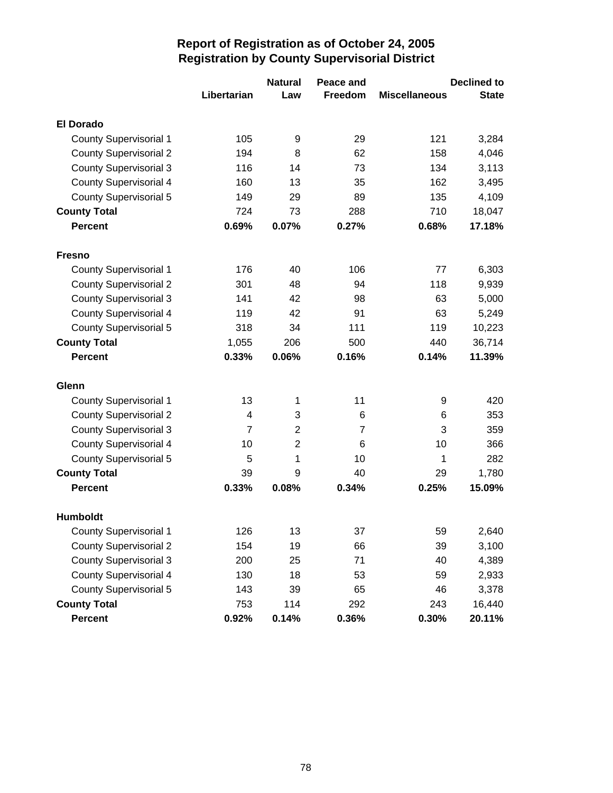|                               |                | <b>Natural</b> | Peace and      |                      | <b>Declined to</b> |
|-------------------------------|----------------|----------------|----------------|----------------------|--------------------|
|                               | Libertarian    | Law            | Freedom        | <b>Miscellaneous</b> | <b>State</b>       |
| <b>El Dorado</b>              |                |                |                |                      |                    |
| <b>County Supervisorial 1</b> | 105            | 9              | 29             | 121                  | 3,284              |
| <b>County Supervisorial 2</b> | 194            | 8              | 62             | 158                  | 4,046              |
| <b>County Supervisorial 3</b> | 116            | 14             | 73             | 134                  | 3,113              |
| <b>County Supervisorial 4</b> | 160            | 13             | 35             | 162                  | 3,495              |
| <b>County Supervisorial 5</b> | 149            | 29             | 89             | 135                  | 4,109              |
| <b>County Total</b>           | 724            | 73             | 288            | 710                  | 18,047             |
| <b>Percent</b>                | 0.69%          | 0.07%          | 0.27%          | 0.68%                | 17.18%             |
| <b>Fresno</b>                 |                |                |                |                      |                    |
| <b>County Supervisorial 1</b> | 176            | 40             | 106            | 77                   | 6,303              |
| <b>County Supervisorial 2</b> | 301            | 48             | 94             | 118                  | 9,939              |
| <b>County Supervisorial 3</b> | 141            | 42             | 98             | 63                   | 5,000              |
| <b>County Supervisorial 4</b> | 119            | 42             | 91             | 63                   | 5,249              |
| <b>County Supervisorial 5</b> | 318            | 34             | 111            | 119                  | 10,223             |
| <b>County Total</b>           | 1,055          | 206            | 500            | 440                  | 36,714             |
| <b>Percent</b>                | 0.33%          | 0.06%          | 0.16%          | 0.14%                | 11.39%             |
| Glenn                         |                |                |                |                      |                    |
| <b>County Supervisorial 1</b> | 13             | 1              | 11             | 9                    | 420                |
| <b>County Supervisorial 2</b> | 4              | 3              | 6              | 6                    | 353                |
| <b>County Supervisorial 3</b> | $\overline{7}$ | $\overline{2}$ | $\overline{7}$ | 3                    | 359                |
| County Supervisorial 4        | 10             | $\overline{2}$ | 6              | 10                   | 366                |
| <b>County Supervisorial 5</b> | 5              | 1              | 10             | 1                    | 282                |
| <b>County Total</b>           | 39             | 9              | 40             | 29                   | 1,780              |
| <b>Percent</b>                | 0.33%          | 0.08%          | 0.34%          | 0.25%                | 15.09%             |
| Humboldt                      |                |                |                |                      |                    |
| <b>County Supervisorial 1</b> | 126            | 13             | 37             | 59                   | 2,640              |
| <b>County Supervisorial 2</b> | 154            | 19             | 66             | 39                   | 3,100              |
| <b>County Supervisorial 3</b> | 200            | 25             | 71             | 40                   | 4,389              |
| <b>County Supervisorial 4</b> | 130            | 18             | 53             | 59                   | 2,933              |
| <b>County Supervisorial 5</b> | 143            | 39             | 65             | 46                   | 3,378              |
| <b>County Total</b>           | 753            | 114            | 292            | 243                  | 16,440             |
| <b>Percent</b>                | 0.92%          | 0.14%          | 0.36%          | 0.30%                | 20.11%             |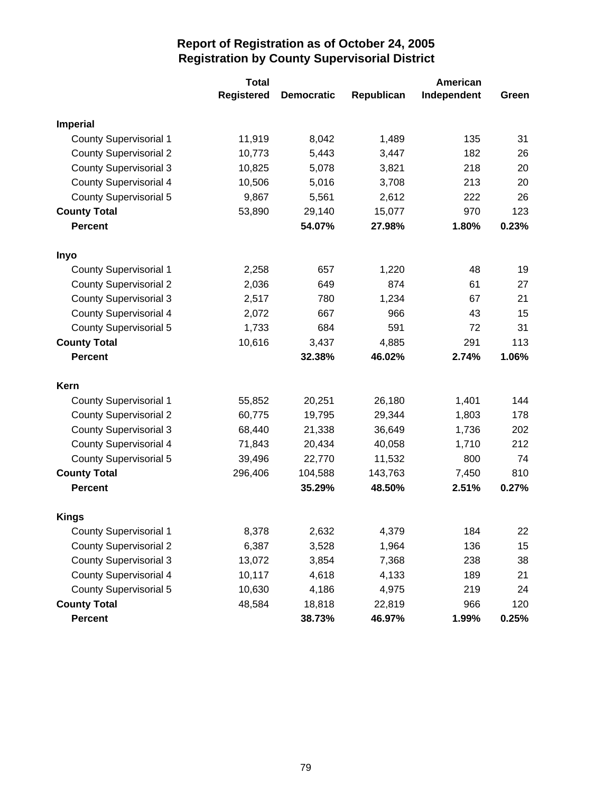|                               | <b>Total</b>      |                   | American   |             |       |
|-------------------------------|-------------------|-------------------|------------|-------------|-------|
|                               | <b>Registered</b> | <b>Democratic</b> | Republican | Independent | Green |
| <b>Imperial</b>               |                   |                   |            |             |       |
| <b>County Supervisorial 1</b> | 11,919            | 8,042             | 1,489      | 135         | 31    |
| <b>County Supervisorial 2</b> | 10,773            | 5,443             | 3,447      | 182         | 26    |
| <b>County Supervisorial 3</b> | 10,825            | 5,078             | 3,821      | 218         | 20    |
| <b>County Supervisorial 4</b> | 10,506            | 5,016             | 3,708      | 213         | 20    |
| County Supervisorial 5        | 9,867             | 5,561             | 2,612      | 222         | 26    |
| <b>County Total</b>           | 53,890            | 29,140            | 15,077     | 970         | 123   |
| <b>Percent</b>                |                   | 54.07%            | 27.98%     | 1.80%       | 0.23% |
| Inyo                          |                   |                   |            |             |       |
| <b>County Supervisorial 1</b> | 2,258             | 657               | 1,220      | 48          | 19    |
| <b>County Supervisorial 2</b> | 2,036             | 649               | 874        | 61          | 27    |
| <b>County Supervisorial 3</b> | 2,517             | 780               | 1,234      | 67          | 21    |
| <b>County Supervisorial 4</b> | 2,072             | 667               | 966        | 43          | 15    |
| County Supervisorial 5        | 1,733             | 684               | 591        | 72          | 31    |
| <b>County Total</b>           | 10,616            | 3,437             | 4,885      | 291         | 113   |
| <b>Percent</b>                |                   | 32.38%            | 46.02%     | 2.74%       | 1.06% |
| Kern                          |                   |                   |            |             |       |
| <b>County Supervisorial 1</b> | 55,852            | 20,251            | 26,180     | 1,401       | 144   |
| <b>County Supervisorial 2</b> | 60,775            | 19,795            | 29,344     | 1,803       | 178   |
| <b>County Supervisorial 3</b> | 68,440            | 21,338            | 36,649     | 1,736       | 202   |
| <b>County Supervisorial 4</b> | 71,843            | 20,434            | 40,058     | 1,710       | 212   |
| <b>County Supervisorial 5</b> | 39,496            | 22,770            | 11,532     | 800         | 74    |
| <b>County Total</b>           | 296,406           | 104,588           | 143,763    | 7,450       | 810   |
| <b>Percent</b>                |                   | 35.29%            | 48.50%     | 2.51%       | 0.27% |
| <b>Kings</b>                  |                   |                   |            |             |       |
| <b>County Supervisorial 1</b> | 8,378             | 2,632             | 4,379      | 184         | 22    |
| <b>County Supervisorial 2</b> | 6,387             | 3,528             | 1,964      | 136         | 15    |
| <b>County Supervisorial 3</b> | 13,072            | 3,854             | 7,368      | 238         | 38    |
| County Supervisorial 4        | 10,117            | 4,618             | 4,133      | 189         | 21    |
| <b>County Supervisorial 5</b> | 10,630            | 4,186             | 4,975      | 219         | 24    |
| <b>County Total</b>           | 48,584            | 18,818            | 22,819     | 966         | 120   |
| Percent                       |                   | 38.73%            | 46.97%     | 1.99%       | 0.25% |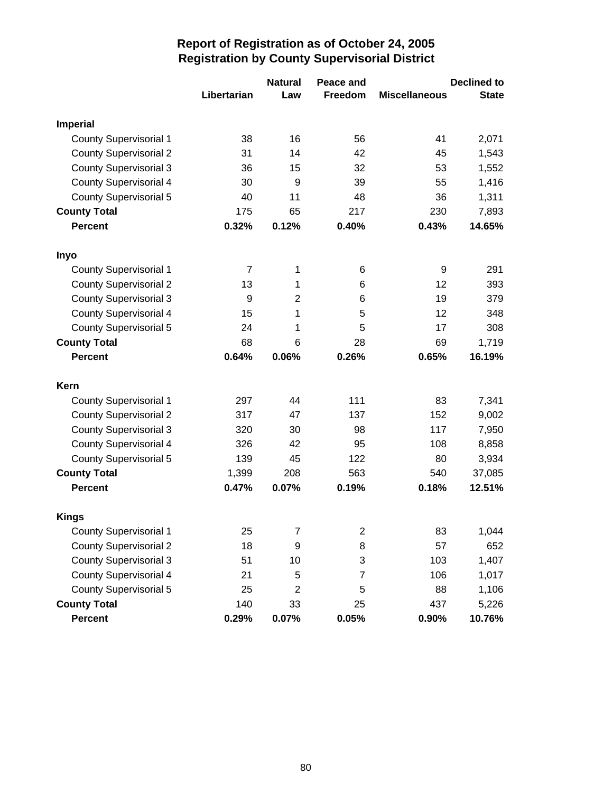|                               |                | <b>Natural</b> | Peace and               |                      | <b>Declined to</b> |
|-------------------------------|----------------|----------------|-------------------------|----------------------|--------------------|
|                               | Libertarian    | Law            | Freedom                 | <b>Miscellaneous</b> | <b>State</b>       |
| <b>Imperial</b>               |                |                |                         |                      |                    |
| <b>County Supervisorial 1</b> | 38             | 16             | 56                      | 41                   | 2,071              |
| <b>County Supervisorial 2</b> | 31             | 14             | 42                      | 45                   | 1,543              |
| <b>County Supervisorial 3</b> | 36             | 15             | 32                      | 53                   | 1,552              |
| <b>County Supervisorial 4</b> | 30             | 9              | 39                      | 55                   | 1,416              |
| <b>County Supervisorial 5</b> | 40             | 11             | 48                      | 36                   | 1,311              |
| <b>County Total</b>           | 175            | 65             | 217                     | 230                  | 7,893              |
| <b>Percent</b>                | 0.32%          | 0.12%          | 0.40%                   | 0.43%                | 14.65%             |
| Inyo                          |                |                |                         |                      |                    |
| <b>County Supervisorial 1</b> | $\overline{7}$ | 1              | 6                       | 9                    | 291                |
| <b>County Supervisorial 2</b> | 13             | 1              | 6                       | 12                   | 393                |
| <b>County Supervisorial 3</b> | 9              | $\overline{2}$ | 6                       | 19                   | 379                |
| <b>County Supervisorial 4</b> | 15             | 1              | 5                       | 12                   | 348                |
| <b>County Supervisorial 5</b> | 24             | 1              | 5                       | 17                   | 308                |
| <b>County Total</b>           | 68             | 6              | 28                      | 69                   | 1,719              |
| <b>Percent</b>                | 0.64%          | 0.06%          | 0.26%                   | 0.65%                | 16.19%             |
| Kern                          |                |                |                         |                      |                    |
| <b>County Supervisorial 1</b> | 297            | 44             | 111                     | 83                   | 7,341              |
| <b>County Supervisorial 2</b> | 317            | 47             | 137                     | 152                  | 9,002              |
| <b>County Supervisorial 3</b> | 320            | 30             | 98                      | 117                  | 7,950              |
| <b>County Supervisorial 4</b> | 326            | 42             | 95                      | 108                  | 8,858              |
| <b>County Supervisorial 5</b> | 139            | 45             | 122                     | 80                   | 3,934              |
| <b>County Total</b>           | 1,399          | 208            | 563                     | 540                  | 37,085             |
| <b>Percent</b>                | 0.47%          | 0.07%          | 0.19%                   | 0.18%                | 12.51%             |
| <b>Kings</b>                  |                |                |                         |                      |                    |
| <b>County Supervisorial 1</b> | 25             | $\overline{7}$ | $\overline{\mathbf{c}}$ | 83                   | 1,044              |
| <b>County Supervisorial 2</b> | 18             | 9              | 8                       | 57                   | 652                |
| <b>County Supervisorial 3</b> | 51             | 10             | 3                       | 103                  | 1,407              |
| <b>County Supervisorial 4</b> | 21             | 5              | 7                       | 106                  | 1,017              |
| <b>County Supervisorial 5</b> | 25             | $\overline{c}$ | 5                       | 88                   | 1,106              |
| <b>County Total</b>           | 140            | 33             | 25                      | 437                  | 5,226              |
| Percent                       | 0.29%          | 0.07%          | 0.05%                   | 0.90%                | 10.76%             |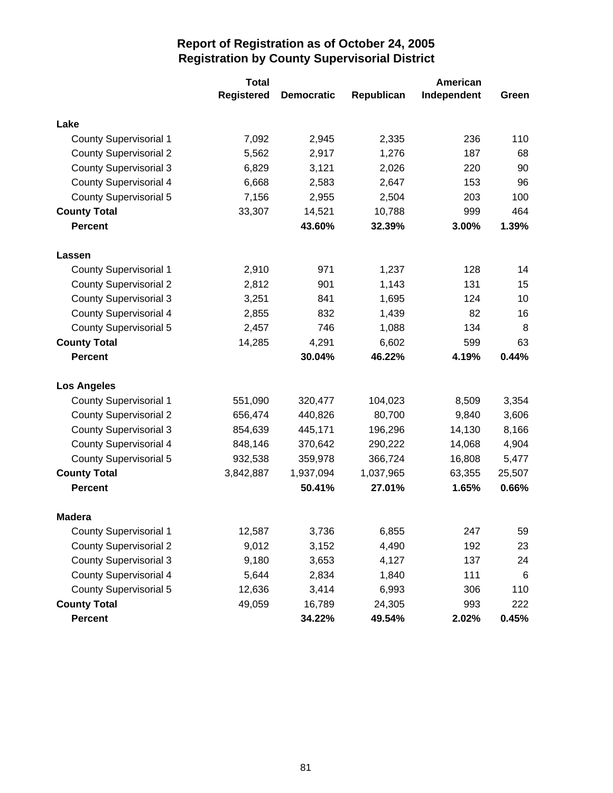|                               | <b>Total</b>      |                   | American   |             |        |  |
|-------------------------------|-------------------|-------------------|------------|-------------|--------|--|
|                               | <b>Registered</b> | <b>Democratic</b> | Republican | Independent | Green  |  |
| Lake                          |                   |                   |            |             |        |  |
| <b>County Supervisorial 1</b> | 7,092             | 2,945             | 2,335      | 236         | 110    |  |
| <b>County Supervisorial 2</b> | 5,562             | 2,917             | 1,276      | 187         | 68     |  |
| <b>County Supervisorial 3</b> | 6,829             | 3,121             | 2,026      | 220         | 90     |  |
| <b>County Supervisorial 4</b> | 6,668             | 2,583             | 2,647      | 153         | 96     |  |
| <b>County Supervisorial 5</b> | 7,156             | 2,955             | 2,504      | 203         | 100    |  |
| <b>County Total</b>           | 33,307            | 14,521            | 10,788     | 999         | 464    |  |
| <b>Percent</b>                |                   | 43.60%            | 32.39%     | 3.00%       | 1.39%  |  |
| Lassen                        |                   |                   |            |             |        |  |
| <b>County Supervisorial 1</b> | 2,910             | 971               | 1,237      | 128         | 14     |  |
| <b>County Supervisorial 2</b> | 2,812             | 901               | 1,143      | 131         | 15     |  |
| <b>County Supervisorial 3</b> | 3,251             | 841               | 1,695      | 124         | 10     |  |
| <b>County Supervisorial 4</b> | 2,855             | 832               | 1,439      | 82          | 16     |  |
| <b>County Supervisorial 5</b> | 2,457             | 746               | 1,088      | 134         | 8      |  |
| <b>County Total</b>           | 14,285            | 4,291             | 6,602      | 599         | 63     |  |
| <b>Percent</b>                |                   | 30.04%            | 46.22%     | 4.19%       | 0.44%  |  |
| <b>Los Angeles</b>            |                   |                   |            |             |        |  |
| <b>County Supervisorial 1</b> | 551,090           | 320,477           | 104,023    | 8,509       | 3,354  |  |
| <b>County Supervisorial 2</b> | 656,474           | 440,826           | 80,700     | 9,840       | 3,606  |  |
| <b>County Supervisorial 3</b> | 854,639           | 445,171           | 196,296    | 14,130      | 8,166  |  |
| <b>County Supervisorial 4</b> | 848,146           | 370,642           | 290,222    | 14,068      | 4,904  |  |
| <b>County Supervisorial 5</b> | 932,538           | 359,978           | 366,724    | 16,808      | 5,477  |  |
| <b>County Total</b>           | 3,842,887         | 1,937,094         | 1,037,965  | 63,355      | 25,507 |  |
| <b>Percent</b>                |                   | 50.41%            | 27.01%     | 1.65%       | 0.66%  |  |
| <b>Madera</b>                 |                   |                   |            |             |        |  |
| <b>County Supervisorial 1</b> | 12,587            | 3,736             | 6,855      | 247         | 59     |  |
| <b>County Supervisorial 2</b> | 9,012             | 3,152             | 4,490      | 192         | 23     |  |
| <b>County Supervisorial 3</b> | 9,180             | 3,653             | 4,127      | 137         | 24     |  |
| <b>County Supervisorial 4</b> | 5,644             | 2,834             | 1,840      | 111         | $\,6$  |  |
| <b>County Supervisorial 5</b> | 12,636            | 3,414             | 6,993      | 306         | 110    |  |
| <b>County Total</b>           | 49,059            | 16,789            | 24,305     | 993         | 222    |  |
| Percent                       |                   | 34.22%            | 49.54%     | 2.02%       | 0.45%  |  |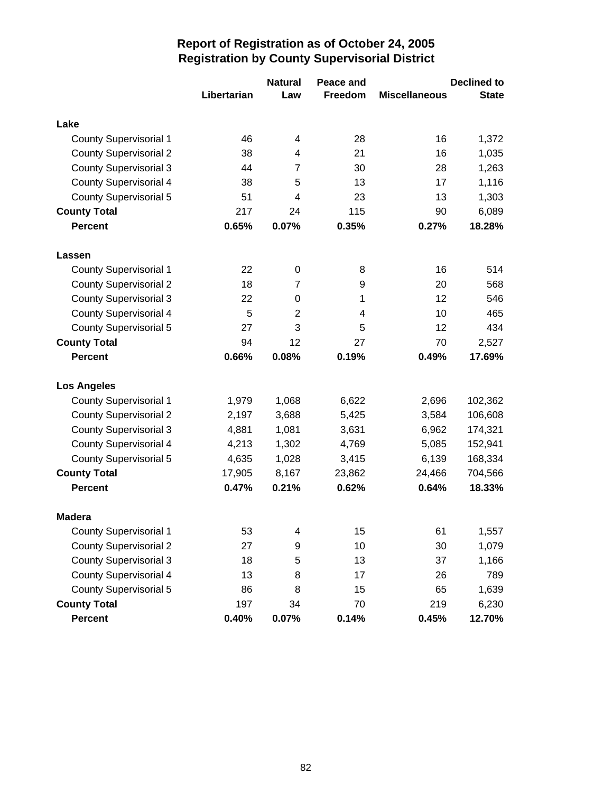|                               |             | <b>Natural</b> | Peace and |                      | <b>Declined to</b> |
|-------------------------------|-------------|----------------|-----------|----------------------|--------------------|
|                               | Libertarian | Law            | Freedom   | <b>Miscellaneous</b> | <b>State</b>       |
| Lake                          |             |                |           |                      |                    |
| <b>County Supervisorial 1</b> | 46          | 4              | 28        | 16                   | 1,372              |
| <b>County Supervisorial 2</b> | 38          | 4              | 21        | 16                   | 1,035              |
| <b>County Supervisorial 3</b> | 44          | $\overline{7}$ | 30        | 28                   | 1,263              |
| <b>County Supervisorial 4</b> | 38          | 5              | 13        | 17                   | 1,116              |
| <b>County Supervisorial 5</b> | 51          | 4              | 23        | 13                   | 1,303              |
| <b>County Total</b>           | 217         | 24             | 115       | 90                   | 6,089              |
| <b>Percent</b>                | 0.65%       | 0.07%          | 0.35%     | 0.27%                | 18.28%             |
| Lassen                        |             |                |           |                      |                    |
| <b>County Supervisorial 1</b> | 22          | 0              | 8         | 16                   | 514                |
| <b>County Supervisorial 2</b> | 18          | 7              | 9         | 20                   | 568                |
| <b>County Supervisorial 3</b> | 22          | 0              | 1         | 12                   | 546                |
| <b>County Supervisorial 4</b> | 5           | 2              | 4         | 10                   | 465                |
| <b>County Supervisorial 5</b> | 27          | 3              | 5         | 12                   | 434                |
| <b>County Total</b>           | 94          | 12             | 27        | 70                   | 2,527              |
| <b>Percent</b>                | 0.66%       | 0.08%          | 0.19%     | 0.49%                | 17.69%             |
| <b>Los Angeles</b>            |             |                |           |                      |                    |
| <b>County Supervisorial 1</b> | 1,979       | 1,068          | 6,622     | 2,696                | 102,362            |
| <b>County Supervisorial 2</b> | 2,197       | 3,688          | 5,425     | 3,584                | 106,608            |
| <b>County Supervisorial 3</b> | 4,881       | 1,081          | 3,631     | 6,962                | 174,321            |
| <b>County Supervisorial 4</b> | 4,213       | 1,302          | 4,769     | 5,085                | 152,941            |
| <b>County Supervisorial 5</b> | 4,635       | 1,028          | 3,415     | 6,139                | 168,334            |
| <b>County Total</b>           | 17,905      | 8,167          | 23,862    | 24,466               | 704,566            |
| <b>Percent</b>                | 0.47%       | 0.21%          | 0.62%     | 0.64%                | 18.33%             |
| <b>Madera</b>                 |             |                |           |                      |                    |
| <b>County Supervisorial 1</b> | 53          | 4              | 15        | 61                   | 1,557              |
| <b>County Supervisorial 2</b> | 27          | 9              | 10        | 30                   | 1,079              |
| <b>County Supervisorial 3</b> | 18          | 5              | 13        | 37                   | 1,166              |
| <b>County Supervisorial 4</b> | 13          | 8              | 17        | 26                   | 789                |
| <b>County Supervisorial 5</b> | 86          | 8              | 15        | 65                   | 1,639              |
| <b>County Total</b>           | 197         | 34             | 70        | 219                  | 6,230              |
| Percent                       | 0.40%       | 0.07%          | 0.14%     | 0.45%                | 12.70%             |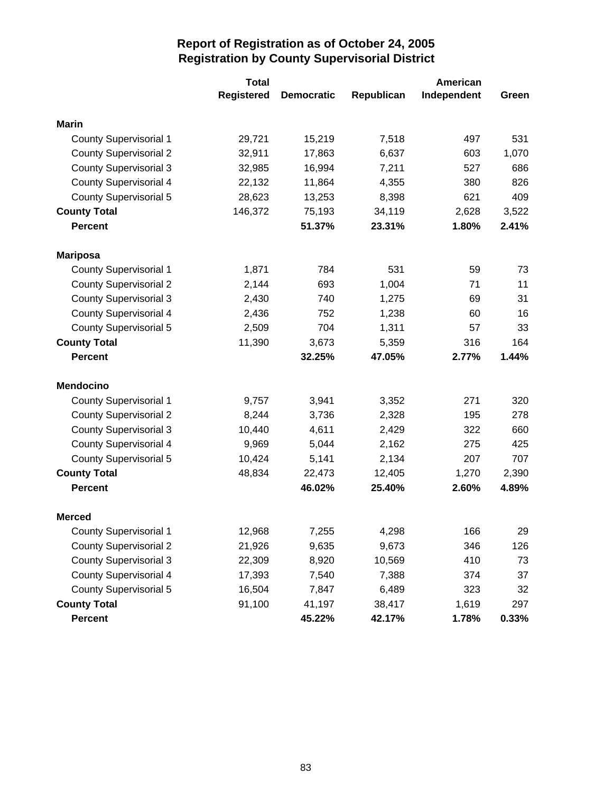|                               | <b>Total</b>      |                   | American   |             |       |  |
|-------------------------------|-------------------|-------------------|------------|-------------|-------|--|
|                               | <b>Registered</b> | <b>Democratic</b> | Republican | Independent | Green |  |
| <b>Marin</b>                  |                   |                   |            |             |       |  |
| <b>County Supervisorial 1</b> | 29,721            | 15,219            | 7,518      | 497         | 531   |  |
| <b>County Supervisorial 2</b> | 32,911            | 17,863            | 6,637      | 603         | 1,070 |  |
| <b>County Supervisorial 3</b> | 32,985            | 16,994            | 7,211      | 527         | 686   |  |
| <b>County Supervisorial 4</b> | 22,132            | 11,864            | 4,355      | 380         | 826   |  |
| County Supervisorial 5        | 28,623            | 13,253            | 8,398      | 621         | 409   |  |
| <b>County Total</b>           | 146,372           | 75,193            | 34,119     | 2,628       | 3,522 |  |
| <b>Percent</b>                |                   | 51.37%            | 23.31%     | 1.80%       | 2.41% |  |
| <b>Mariposa</b>               |                   |                   |            |             |       |  |
| <b>County Supervisorial 1</b> | 1,871             | 784               | 531        | 59          | 73    |  |
| <b>County Supervisorial 2</b> | 2,144             | 693               | 1,004      | 71          | 11    |  |
| <b>County Supervisorial 3</b> | 2,430             | 740               | 1,275      | 69          | 31    |  |
| <b>County Supervisorial 4</b> | 2,436             | 752               | 1,238      | 60          | 16    |  |
| County Supervisorial 5        | 2,509             | 704               | 1,311      | 57          | 33    |  |
| <b>County Total</b>           | 11,390            | 3,673             | 5,359      | 316         | 164   |  |
| <b>Percent</b>                |                   | 32.25%            | 47.05%     | 2.77%       | 1.44% |  |
| <b>Mendocino</b>              |                   |                   |            |             |       |  |
| <b>County Supervisorial 1</b> | 9,757             | 3,941             | 3,352      | 271         | 320   |  |
| <b>County Supervisorial 2</b> | 8,244             | 3,736             | 2,328      | 195         | 278   |  |
| <b>County Supervisorial 3</b> | 10,440            | 4,611             | 2,429      | 322         | 660   |  |
| <b>County Supervisorial 4</b> | 9,969             | 5,044             | 2,162      | 275         | 425   |  |
| <b>County Supervisorial 5</b> | 10,424            | 5,141             | 2,134      | 207         | 707   |  |
| <b>County Total</b>           | 48,834            | 22,473            | 12,405     | 1,270       | 2,390 |  |
| <b>Percent</b>                |                   | 46.02%            | 25.40%     | 2.60%       | 4.89% |  |
| <b>Merced</b>                 |                   |                   |            |             |       |  |
| <b>County Supervisorial 1</b> | 12,968            | 7,255             | 4,298      | 166         | 29    |  |
| <b>County Supervisorial 2</b> | 21,926            | 9,635             | 9,673      | 346         | 126   |  |
| <b>County Supervisorial 3</b> | 22,309            | 8,920             | 10,569     | 410         | 73    |  |
| County Supervisorial 4        | 17,393            | 7,540             | 7,388      | 374         | 37    |  |
| <b>County Supervisorial 5</b> | 16,504            | 7,847             | 6,489      | 323         | 32    |  |
| <b>County Total</b>           | 91,100            | 41,197            | 38,417     | 1,619       | 297   |  |
| Percent                       |                   | 45.22%            | 42.17%     | 1.78%       | 0.33% |  |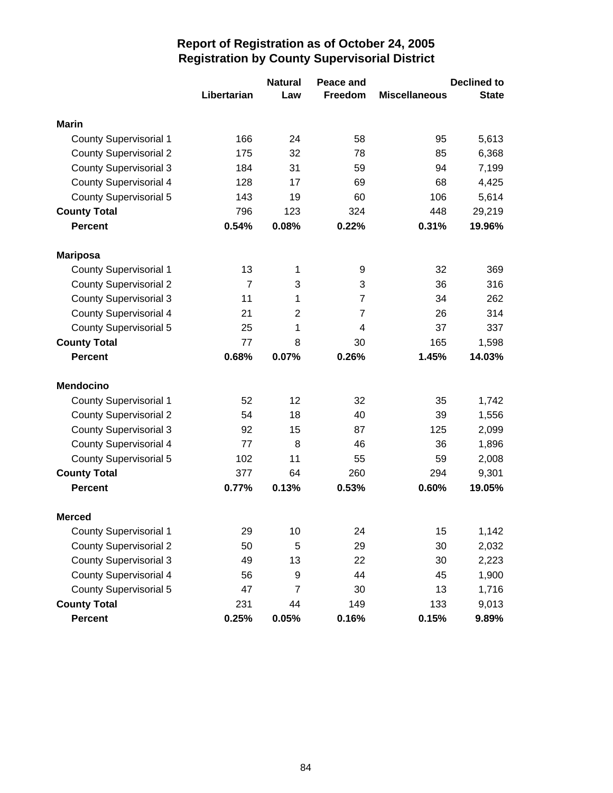|                               |                | <b>Natural</b> | Peace and      |                      | <b>Declined to</b> |
|-------------------------------|----------------|----------------|----------------|----------------------|--------------------|
|                               | Libertarian    | Law            | <b>Freedom</b> | <b>Miscellaneous</b> | <b>State</b>       |
| <b>Marin</b>                  |                |                |                |                      |                    |
| <b>County Supervisorial 1</b> | 166            | 24             | 58             | 95                   | 5,613              |
| <b>County Supervisorial 2</b> | 175            | 32             | 78             | 85                   | 6,368              |
| <b>County Supervisorial 3</b> | 184            | 31             | 59             | 94                   | 7,199              |
| <b>County Supervisorial 4</b> | 128            | 17             | 69             | 68                   | 4,425              |
| <b>County Supervisorial 5</b> | 143            | 19             | 60             | 106                  | 5,614              |
| <b>County Total</b>           | 796            | 123            | 324            | 448                  | 29,219             |
| <b>Percent</b>                | 0.54%          | 0.08%          | 0.22%          | 0.31%                | 19.96%             |
| <b>Mariposa</b>               |                |                |                |                      |                    |
| <b>County Supervisorial 1</b> | 13             | 1              | 9              | 32                   | 369                |
| <b>County Supervisorial 2</b> | $\overline{7}$ | 3              | 3              | 36                   | 316                |
| <b>County Supervisorial 3</b> | 11             | 1              | $\overline{7}$ | 34                   | 262                |
| <b>County Supervisorial 4</b> | 21             | $\overline{2}$ | 7              | 26                   | 314                |
| <b>County Supervisorial 5</b> | 25             | 1              | 4              | 37                   | 337                |
| <b>County Total</b>           | 77             | 8              | 30             | 165                  | 1,598              |
| <b>Percent</b>                | 0.68%          | 0.07%          | 0.26%          | 1.45%                | 14.03%             |
| <b>Mendocino</b>              |                |                |                |                      |                    |
| <b>County Supervisorial 1</b> | 52             | 12             | 32             | 35                   | 1,742              |
| <b>County Supervisorial 2</b> | 54             | 18             | 40             | 39                   | 1,556              |
| <b>County Supervisorial 3</b> | 92             | 15             | 87             | 125                  | 2,099              |
| <b>County Supervisorial 4</b> | 77             | 8              | 46             | 36                   | 1,896              |
| <b>County Supervisorial 5</b> | 102            | 11             | 55             | 59                   | 2,008              |
| <b>County Total</b>           | 377            | 64             | 260            | 294                  | 9,301              |
| <b>Percent</b>                | 0.77%          | 0.13%          | 0.53%          | 0.60%                | 19.05%             |
| <b>Merced</b>                 |                |                |                |                      |                    |
| <b>County Supervisorial 1</b> | 29             | 10             | 24             | 15                   | 1,142              |
| <b>County Supervisorial 2</b> | 50             | 5              | 29             | 30                   | 2,032              |
| <b>County Supervisorial 3</b> | 49             | 13             | 22             | 30                   | 2,223              |
| <b>County Supervisorial 4</b> | 56             | 9              | 44             | 45                   | 1,900              |
| <b>County Supervisorial 5</b> | 47             | $\overline{7}$ | 30             | 13                   | 1,716              |
| <b>County Total</b>           | 231            | 44             | 149            | 133                  | 9,013              |
| Percent                       | 0.25%          | 0.05%          | 0.16%          | 0.15%                | 9.89%              |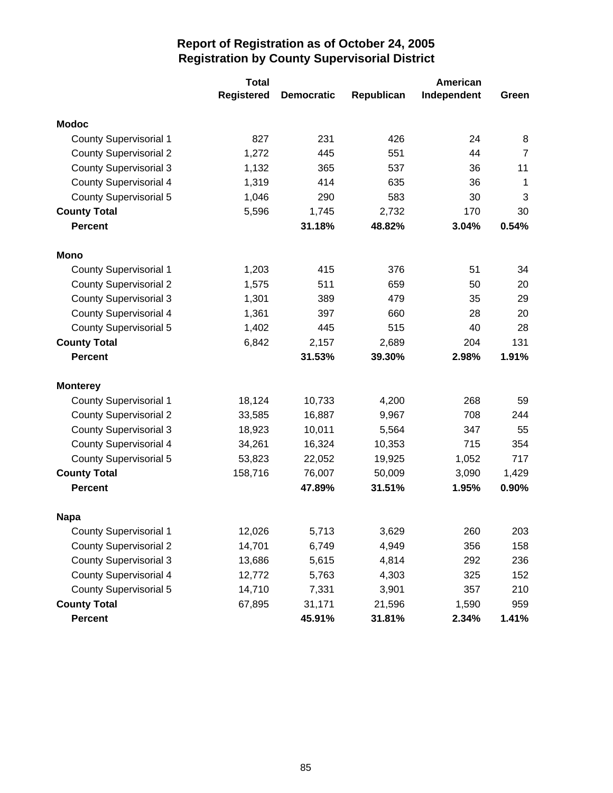|                               | <b>Total</b>      |                   | American   |             |                |  |
|-------------------------------|-------------------|-------------------|------------|-------------|----------------|--|
|                               | <b>Registered</b> | <b>Democratic</b> | Republican | Independent | Green          |  |
| <b>Modoc</b>                  |                   |                   |            |             |                |  |
| <b>County Supervisorial 1</b> | 827               | 231               | 426        | 24          | 8              |  |
| <b>County Supervisorial 2</b> | 1,272             | 445               | 551        | 44          | $\overline{7}$ |  |
| <b>County Supervisorial 3</b> | 1,132             | 365               | 537        | 36          | 11             |  |
| <b>County Supervisorial 4</b> | 1,319             | 414               | 635        | 36          | 1              |  |
| County Supervisorial 5        | 1,046             | 290               | 583        | 30          | 3              |  |
| <b>County Total</b>           | 5,596             | 1,745             | 2,732      | 170         | 30             |  |
| <b>Percent</b>                |                   | 31.18%            | 48.82%     | 3.04%       | 0.54%          |  |
| <b>Mono</b>                   |                   |                   |            |             |                |  |
| <b>County Supervisorial 1</b> | 1,203             | 415               | 376        | 51          | 34             |  |
| <b>County Supervisorial 2</b> | 1,575             | 511               | 659        | 50          | 20             |  |
| <b>County Supervisorial 3</b> | 1,301             | 389               | 479        | 35          | 29             |  |
| <b>County Supervisorial 4</b> | 1,361             | 397               | 660        | 28          | 20             |  |
| County Supervisorial 5        | 1,402             | 445               | 515        | 40          | 28             |  |
| <b>County Total</b>           | 6,842             | 2,157             | 2,689      | 204         | 131            |  |
| <b>Percent</b>                |                   | 31.53%            | 39.30%     | 2.98%       | 1.91%          |  |
| <b>Monterey</b>               |                   |                   |            |             |                |  |
| <b>County Supervisorial 1</b> | 18,124            | 10,733            | 4,200      | 268         | 59             |  |
| <b>County Supervisorial 2</b> | 33,585            | 16,887            | 9,967      | 708         | 244            |  |
| <b>County Supervisorial 3</b> | 18,923            | 10,011            | 5,564      | 347         | 55             |  |
| <b>County Supervisorial 4</b> | 34,261            | 16,324            | 10,353     | 715         | 354            |  |
| <b>County Supervisorial 5</b> | 53,823            | 22,052            | 19,925     | 1,052       | 717            |  |
| <b>County Total</b>           | 158,716           | 76,007            | 50,009     | 3,090       | 1,429          |  |
| <b>Percent</b>                |                   | 47.89%            | 31.51%     | 1.95%       | 0.90%          |  |
| <b>Napa</b>                   |                   |                   |            |             |                |  |
| <b>County Supervisorial 1</b> | 12,026            | 5,713             | 3,629      | 260         | 203            |  |
| <b>County Supervisorial 2</b> | 14,701            | 6,749             | 4,949      | 356         | 158            |  |
| <b>County Supervisorial 3</b> | 13,686            | 5,615             | 4,814      | 292         | 236            |  |
| <b>County Supervisorial 4</b> | 12,772            | 5,763             | 4,303      | 325         | 152            |  |
| <b>County Supervisorial 5</b> | 14,710            | 7,331             | 3,901      | 357         | 210            |  |
| <b>County Total</b>           | 67,895            | 31,171            | 21,596     | 1,590       | 959            |  |
| Percent                       |                   | 45.91%            | 31.81%     | 2.34%       | 1.41%          |  |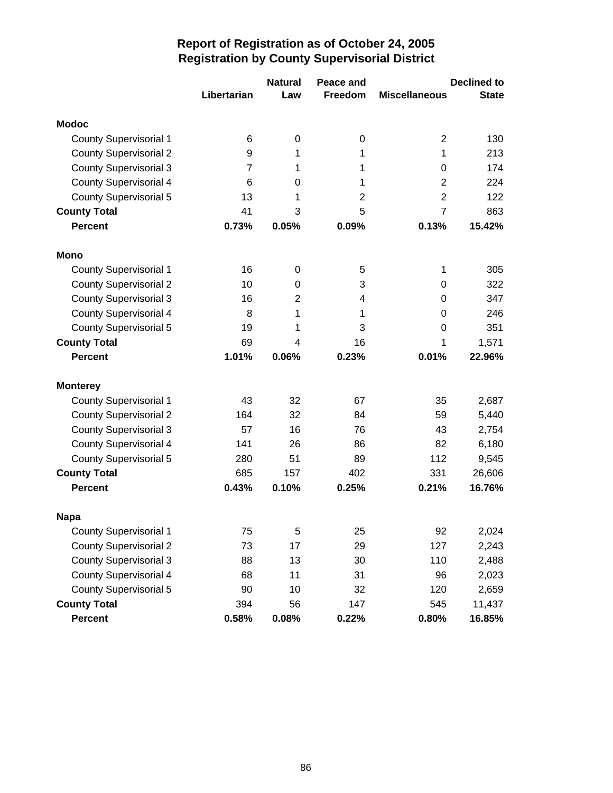|                               |                | <b>Natural</b> | Peace and      |                         | <b>Declined to</b> |
|-------------------------------|----------------|----------------|----------------|-------------------------|--------------------|
|                               | Libertarian    | Law            | Freedom        | <b>Miscellaneous</b>    | <b>State</b>       |
| <b>Modoc</b>                  |                |                |                |                         |                    |
| <b>County Supervisorial 1</b> | 6              | 0              | 0              | $\overline{\mathbf{c}}$ | 130                |
| <b>County Supervisorial 2</b> | 9              | 1              | 1              | 1                       | 213                |
| <b>County Supervisorial 3</b> | $\overline{7}$ | 1              | 1              | 0                       | 174                |
| <b>County Supervisorial 4</b> | 6              | 0              | 1              | $\overline{2}$          | 224                |
| <b>County Supervisorial 5</b> | 13             | 1              | $\overline{2}$ | $\overline{2}$          | 122                |
| <b>County Total</b>           | 41             | 3              | 5              | $\overline{7}$          | 863                |
| <b>Percent</b>                | 0.73%          | 0.05%          | 0.09%          | 0.13%                   | 15.42%             |
| Mono                          |                |                |                |                         |                    |
| <b>County Supervisorial 1</b> | 16             | 0              | 5              | 1                       | 305                |
| <b>County Supervisorial 2</b> | 10             | 0              | 3              | 0                       | 322                |
| <b>County Supervisorial 3</b> | 16             | $\overline{2}$ | 4              | 0                       | 347                |
| <b>County Supervisorial 4</b> | 8              | 1              | 1              | 0                       | 246                |
| <b>County Supervisorial 5</b> | 19             | 1              | 3              | 0                       | 351                |
| <b>County Total</b>           | 69             | 4              | 16             | 1                       | 1,571              |
| <b>Percent</b>                | 1.01%          | 0.06%          | 0.23%          | 0.01%                   | 22.96%             |
| <b>Monterey</b>               |                |                |                |                         |                    |
| <b>County Supervisorial 1</b> | 43             | 32             | 67             | 35                      | 2,687              |
| <b>County Supervisorial 2</b> | 164            | 32             | 84             | 59                      | 5,440              |
| <b>County Supervisorial 3</b> | 57             | 16             | 76             | 43                      | 2,754              |
| <b>County Supervisorial 4</b> | 141            | 26             | 86             | 82                      | 6,180              |
| <b>County Supervisorial 5</b> | 280            | 51             | 89             | 112                     | 9,545              |
| <b>County Total</b>           | 685            | 157            | 402            | 331                     | 26,606             |
| <b>Percent</b>                | 0.43%          | 0.10%          | 0.25%          | 0.21%                   | 16.76%             |
| <b>Napa</b>                   |                |                |                |                         |                    |
| <b>County Supervisorial 1</b> | 75             | 5              | 25             | 92                      | 2,024              |
| <b>County Supervisorial 2</b> | 73             | 17             | 29             | 127                     | 2,243              |
| <b>County Supervisorial 3</b> | 88             | 13             | 30             | 110                     | 2,488              |
| <b>County Supervisorial 4</b> | 68             | 11             | 31             | 96                      | 2,023              |
| <b>County Supervisorial 5</b> | 90             | 10             | 32             | 120                     | 2,659              |
| <b>County Total</b>           | 394            | 56             | 147            | 545                     | 11,437             |
| Percent                       | 0.58%          | 0.08%          | 0.22%          | 0.80%                   | 16.85%             |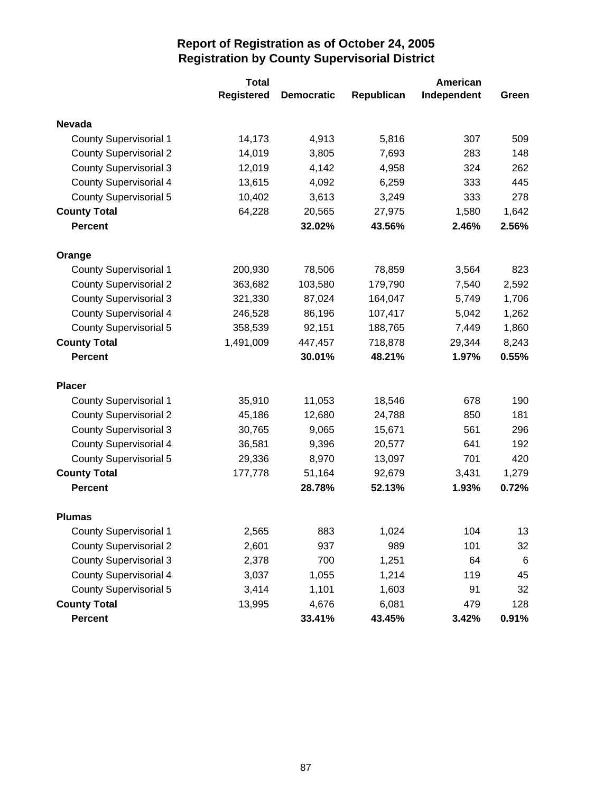|                               | <b>Total</b>      |                   | American   |             |                 |  |
|-------------------------------|-------------------|-------------------|------------|-------------|-----------------|--|
|                               | <b>Registered</b> | <b>Democratic</b> | Republican | Independent | Green           |  |
| <b>Nevada</b>                 |                   |                   |            |             |                 |  |
| <b>County Supervisorial 1</b> | 14,173            | 4,913             | 5,816      | 307         | 509             |  |
| <b>County Supervisorial 2</b> | 14,019            | 3,805             | 7,693      | 283         | 148             |  |
| <b>County Supervisorial 3</b> | 12,019            | 4,142             | 4,958      | 324         | 262             |  |
| <b>County Supervisorial 4</b> | 13,615            | 4,092             | 6,259      | 333         | 445             |  |
| <b>County Supervisorial 5</b> | 10,402            | 3,613             | 3,249      | 333         | 278             |  |
| <b>County Total</b>           | 64,228            | 20,565            | 27,975     | 1,580       | 1,642           |  |
| <b>Percent</b>                |                   | 32.02%            | 43.56%     | 2.46%       | 2.56%           |  |
| Orange                        |                   |                   |            |             |                 |  |
| <b>County Supervisorial 1</b> | 200,930           | 78,506            | 78,859     | 3,564       | 823             |  |
| <b>County Supervisorial 2</b> | 363,682           | 103,580           | 179,790    | 7,540       | 2,592           |  |
| <b>County Supervisorial 3</b> | 321,330           | 87,024            | 164,047    | 5,749       | 1,706           |  |
| <b>County Supervisorial 4</b> | 246,528           | 86,196            | 107,417    | 5,042       | 1,262           |  |
| <b>County Supervisorial 5</b> | 358,539           | 92,151            | 188,765    | 7,449       | 1,860           |  |
| <b>County Total</b>           | 1,491,009         | 447,457           | 718,878    | 29,344      | 8,243           |  |
| <b>Percent</b>                |                   | 30.01%            | 48.21%     | 1.97%       | 0.55%           |  |
| <b>Placer</b>                 |                   |                   |            |             |                 |  |
| <b>County Supervisorial 1</b> | 35,910            | 11,053            | 18,546     | 678         | 190             |  |
| <b>County Supervisorial 2</b> | 45,186            | 12,680            | 24,788     | 850         | 181             |  |
| <b>County Supervisorial 3</b> | 30,765            | 9,065             | 15,671     | 561         | 296             |  |
| <b>County Supervisorial 4</b> | 36,581            | 9,396             | 20,577     | 641         | 192             |  |
| <b>County Supervisorial 5</b> | 29,336            | 8,970             | 13,097     | 701         | 420             |  |
| <b>County Total</b>           | 177,778           | 51,164            | 92,679     | 3,431       | 1,279           |  |
| <b>Percent</b>                |                   | 28.78%            | 52.13%     | 1.93%       | 0.72%           |  |
| <b>Plumas</b>                 |                   |                   |            |             |                 |  |
| <b>County Supervisorial 1</b> | 2,565             | 883               | 1,024      | 104         | 13              |  |
| <b>County Supervisorial 2</b> | 2,601             | 937               | 989        | 101         | 32              |  |
| <b>County Supervisorial 3</b> | 2,378             | 700               | 1,251      | 64          | $6\phantom{1}6$ |  |
| <b>County Supervisorial 4</b> | 3,037             | 1,055             | 1,214      | 119         | 45              |  |
| <b>County Supervisorial 5</b> | 3,414             | 1,101             | 1,603      | 91          | 32              |  |
| <b>County Total</b>           | 13,995            | 4,676             | 6,081      | 479         | 128             |  |
| Percent                       |                   | 33.41%            | 43.45%     | 3.42%       | 0.91%           |  |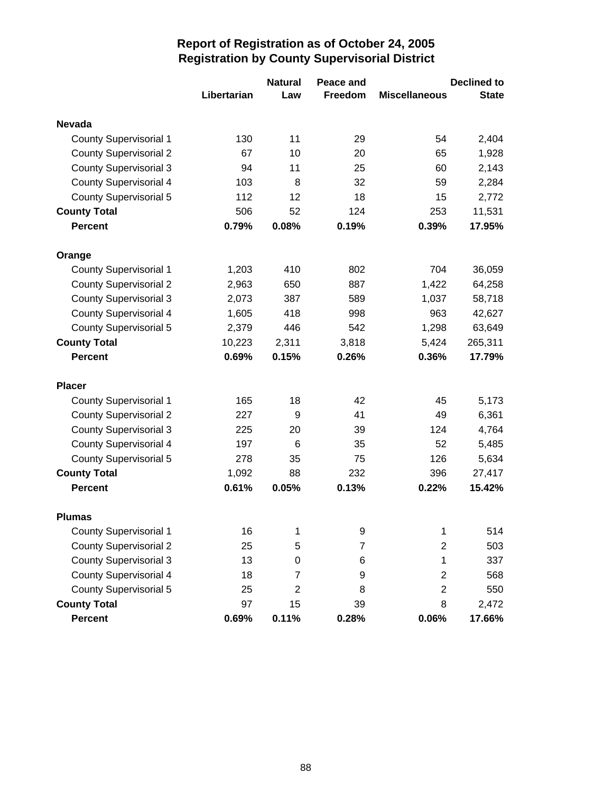|                               |             | <b>Natural</b> | Peace and |                      | <b>Declined to</b> |
|-------------------------------|-------------|----------------|-----------|----------------------|--------------------|
|                               | Libertarian | Law            | Freedom   | <b>Miscellaneous</b> | <b>State</b>       |
| <b>Nevada</b>                 |             |                |           |                      |                    |
| <b>County Supervisorial 1</b> | 130         | 11             | 29        | 54                   | 2,404              |
| <b>County Supervisorial 2</b> | 67          | 10             | 20        | 65                   | 1,928              |
| <b>County Supervisorial 3</b> | 94          | 11             | 25        | 60                   | 2,143              |
| <b>County Supervisorial 4</b> | 103         | 8              | 32        | 59                   | 2,284              |
| <b>County Supervisorial 5</b> | 112         | 12             | 18        | 15                   | 2,772              |
| <b>County Total</b>           | 506         | 52             | 124       | 253                  | 11,531             |
| <b>Percent</b>                | 0.79%       | 0.08%          | 0.19%     | 0.39%                | 17.95%             |
| Orange                        |             |                |           |                      |                    |
| <b>County Supervisorial 1</b> | 1,203       | 410            | 802       | 704                  | 36,059             |
| <b>County Supervisorial 2</b> | 2,963       | 650            | 887       | 1,422                | 64,258             |
| <b>County Supervisorial 3</b> | 2,073       | 387            | 589       | 1,037                | 58,718             |
| <b>County Supervisorial 4</b> | 1,605       | 418            | 998       | 963                  | 42,627             |
| <b>County Supervisorial 5</b> | 2,379       | 446            | 542       | 1,298                | 63,649             |
| <b>County Total</b>           | 10,223      | 2,311          | 3,818     | 5,424                | 265,311            |
| <b>Percent</b>                | 0.69%       | 0.15%          | 0.26%     | 0.36%                | 17.79%             |
| <b>Placer</b>                 |             |                |           |                      |                    |
| <b>County Supervisorial 1</b> | 165         | 18             | 42        | 45                   | 5,173              |
| <b>County Supervisorial 2</b> | 227         | 9              | 41        | 49                   | 6,361              |
| <b>County Supervisorial 3</b> | 225         | 20             | 39        | 124                  | 4,764              |
| <b>County Supervisorial 4</b> | 197         | 6              | 35        | 52                   | 5,485              |
| <b>County Supervisorial 5</b> | 278         | 35             | 75        | 126                  | 5,634              |
| <b>County Total</b>           | 1,092       | 88             | 232       | 396                  | 27,417             |
| <b>Percent</b>                | 0.61%       | 0.05%          | 0.13%     | 0.22%                | 15.42%             |
| <b>Plumas</b>                 |             |                |           |                      |                    |
| <b>County Supervisorial 1</b> | 16          | 1              | 9         | 1                    | 514                |
| <b>County Supervisorial 2</b> | 25          | 5              | 7         | $\overline{c}$       | 503                |
| <b>County Supervisorial 3</b> | 13          | 0              | 6         | 1                    | 337                |
| <b>County Supervisorial 4</b> | 18          | 7              | 9         | $\overline{2}$       | 568                |
| <b>County Supervisorial 5</b> | 25          | $\overline{2}$ | 8         | $\mathbf{2}$         | 550                |
| <b>County Total</b>           | 97          | 15             | 39        | 8                    | 2,472              |
| Percent                       | 0.69%       | 0.11%          | 0.28%     | 0.06%                | 17.66%             |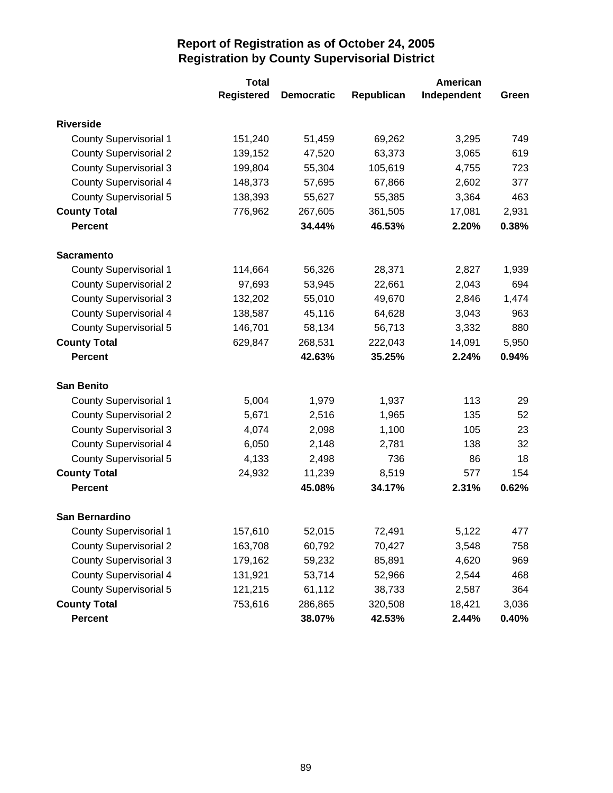|                               | <b>Total</b>      |                   |            | American    |       |
|-------------------------------|-------------------|-------------------|------------|-------------|-------|
|                               | <b>Registered</b> | <b>Democratic</b> | Republican | Independent | Green |
| <b>Riverside</b>              |                   |                   |            |             |       |
| <b>County Supervisorial 1</b> | 151,240           | 51,459            | 69,262     | 3,295       | 749   |
| <b>County Supervisorial 2</b> | 139,152           | 47,520            | 63,373     | 3,065       | 619   |
| <b>County Supervisorial 3</b> | 199,804           | 55,304            | 105,619    | 4,755       | 723   |
| <b>County Supervisorial 4</b> | 148,373           | 57,695            | 67,866     | 2,602       | 377   |
| <b>County Supervisorial 5</b> | 138,393           | 55,627            | 55,385     | 3,364       | 463   |
| <b>County Total</b>           | 776,962           | 267,605           | 361,505    | 17,081      | 2,931 |
| <b>Percent</b>                |                   | 34.44%            | 46.53%     | 2.20%       | 0.38% |
| <b>Sacramento</b>             |                   |                   |            |             |       |
| <b>County Supervisorial 1</b> | 114,664           | 56,326            | 28,371     | 2,827       | 1,939 |
| <b>County Supervisorial 2</b> | 97,693            | 53,945            | 22,661     | 2,043       | 694   |
| <b>County Supervisorial 3</b> | 132,202           | 55,010            | 49,670     | 2,846       | 1,474 |
| <b>County Supervisorial 4</b> | 138,587           | 45,116            | 64,628     | 3,043       | 963   |
| <b>County Supervisorial 5</b> | 146,701           | 58,134            | 56,713     | 3,332       | 880   |
| <b>County Total</b>           | 629,847           | 268,531           | 222,043    | 14,091      | 5,950 |
| <b>Percent</b>                |                   | 42.63%            | 35.25%     | 2.24%       | 0.94% |
| <b>San Benito</b>             |                   |                   |            |             |       |
| <b>County Supervisorial 1</b> | 5,004             | 1,979             | 1,937      | 113         | 29    |
| <b>County Supervisorial 2</b> | 5,671             | 2,516             | 1,965      | 135         | 52    |
| <b>County Supervisorial 3</b> | 4,074             | 2,098             | 1,100      | 105         | 23    |
| <b>County Supervisorial 4</b> | 6,050             | 2,148             | 2,781      | 138         | 32    |
| <b>County Supervisorial 5</b> | 4,133             | 2,498             | 736        | 86          | 18    |
| <b>County Total</b>           | 24,932            | 11,239            | 8,519      | 577         | 154   |
| <b>Percent</b>                |                   | 45.08%            | 34.17%     | 2.31%       | 0.62% |
| San Bernardino                |                   |                   |            |             |       |
| <b>County Supervisorial 1</b> | 157,610           | 52,015            | 72,491     | 5,122       | 477   |
| <b>County Supervisorial 2</b> | 163,708           | 60,792            | 70,427     | 3,548       | 758   |
| <b>County Supervisorial 3</b> | 179,162           | 59,232            | 85,891     | 4,620       | 969   |
| <b>County Supervisorial 4</b> | 131,921           | 53,714            | 52,966     | 2,544       | 468   |
| <b>County Supervisorial 5</b> | 121,215           | 61,112            | 38,733     | 2,587       | 364   |
| <b>County Total</b>           | 753,616           | 286,865           | 320,508    | 18,421      | 3,036 |
| Percent                       |                   | 38.07%            | 42.53%     | 2.44%       | 0.40% |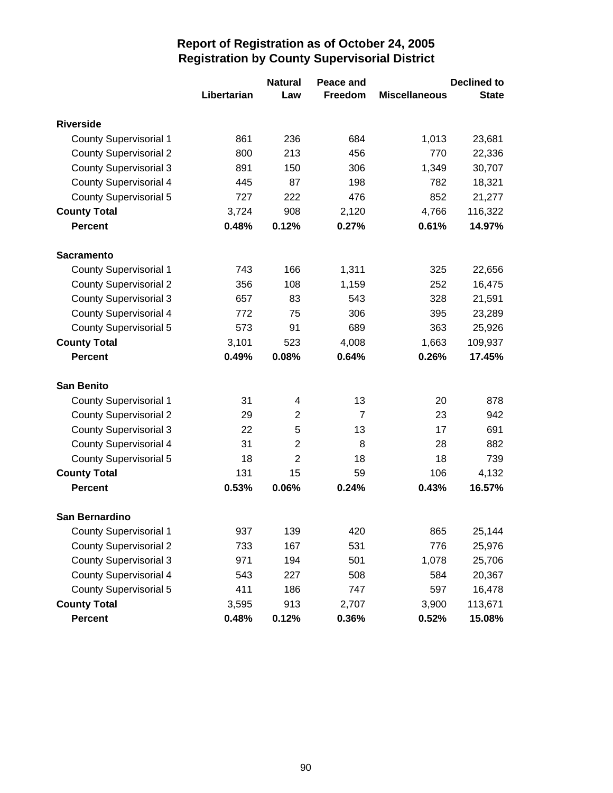|                               |             | <b>Natural</b> | Peace and      |                      | <b>Declined to</b> |
|-------------------------------|-------------|----------------|----------------|----------------------|--------------------|
|                               | Libertarian | Law            | <b>Freedom</b> | <b>Miscellaneous</b> | <b>State</b>       |
| <b>Riverside</b>              |             |                |                |                      |                    |
| <b>County Supervisorial 1</b> | 861         | 236            | 684            | 1,013                | 23,681             |
| <b>County Supervisorial 2</b> | 800         | 213            | 456            | 770                  | 22,336             |
| <b>County Supervisorial 3</b> | 891         | 150            | 306            | 1,349                | 30,707             |
| <b>County Supervisorial 4</b> | 445         | 87             | 198            | 782                  | 18,321             |
| <b>County Supervisorial 5</b> | 727         | 222            | 476            | 852                  | 21,277             |
| <b>County Total</b>           | 3,724       | 908            | 2,120          | 4,766                | 116,322            |
| <b>Percent</b>                | 0.48%       | 0.12%          | 0.27%          | 0.61%                | 14.97%             |
| <b>Sacramento</b>             |             |                |                |                      |                    |
| <b>County Supervisorial 1</b> | 743         | 166            | 1,311          | 325                  | 22,656             |
| <b>County Supervisorial 2</b> | 356         | 108            | 1,159          | 252                  | 16,475             |
| <b>County Supervisorial 3</b> | 657         | 83             | 543            | 328                  | 21,591             |
| <b>County Supervisorial 4</b> | 772         | 75             | 306            | 395                  | 23,289             |
| <b>County Supervisorial 5</b> | 573         | 91             | 689            | 363                  | 25,926             |
| <b>County Total</b>           | 3,101       | 523            | 4,008          | 1,663                | 109,937            |
| <b>Percent</b>                | 0.49%       | 0.08%          | 0.64%          | 0.26%                | 17.45%             |
| <b>San Benito</b>             |             |                |                |                      |                    |
| <b>County Supervisorial 1</b> | 31          | 4              | 13             | 20                   | 878                |
| <b>County Supervisorial 2</b> | 29          | $\overline{2}$ | $\overline{7}$ | 23                   | 942                |
| <b>County Supervisorial 3</b> | 22          | 5              | 13             | 17                   | 691                |
| <b>County Supervisorial 4</b> | 31          | $\overline{2}$ | 8              | 28                   | 882                |
| <b>County Supervisorial 5</b> | 18          | $\overline{2}$ | 18             | 18                   | 739                |
| <b>County Total</b>           | 131         | 15             | 59             | 106                  | 4,132              |
| <b>Percent</b>                | 0.53%       | 0.06%          | 0.24%          | 0.43%                | 16.57%             |
| San Bernardino                |             |                |                |                      |                    |
| <b>County Supervisorial 1</b> | 937         | 139            | 420            | 865                  | 25,144             |
| <b>County Supervisorial 2</b> | 733         | 167            | 531            | 776                  | 25,976             |
| <b>County Supervisorial 3</b> | 971         | 194            | 501            | 1,078                | 25,706             |
| <b>County Supervisorial 4</b> | 543         | 227            | 508            | 584                  | 20,367             |
| <b>County Supervisorial 5</b> | 411         | 186            | 747            | 597                  | 16,478             |
| <b>County Total</b>           | 3,595       | 913            | 2,707          | 3,900                | 113,671            |
| <b>Percent</b>                | 0.48%       | 0.12%          | 0.36%          | 0.52%                | 15.08%             |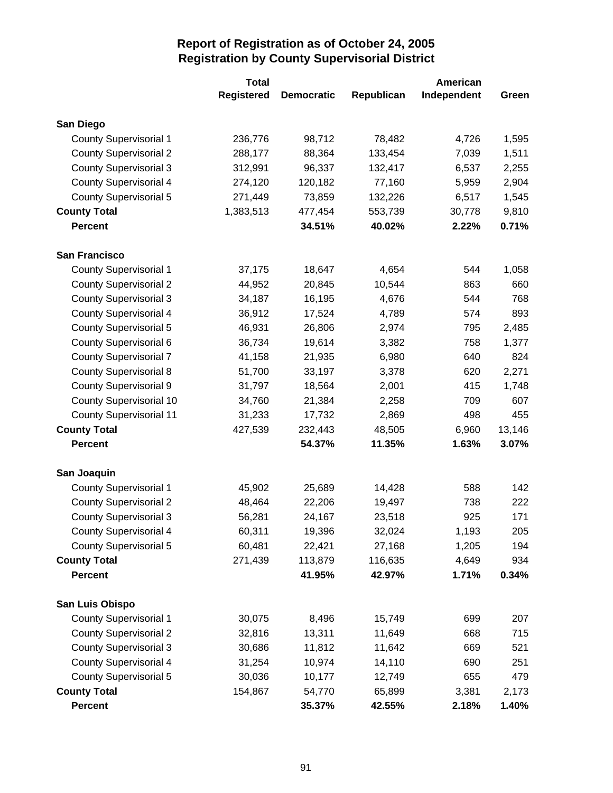|                                | <b>Total</b>      |                   |            | American    |        |
|--------------------------------|-------------------|-------------------|------------|-------------|--------|
|                                | <b>Registered</b> | <b>Democratic</b> | Republican | Independent | Green  |
| San Diego                      |                   |                   |            |             |        |
| <b>County Supervisorial 1</b>  | 236,776           | 98,712            | 78,482     | 4,726       | 1,595  |
| <b>County Supervisorial 2</b>  | 288,177           | 88,364            | 133,454    | 7,039       | 1,511  |
| <b>County Supervisorial 3</b>  | 312,991           | 96,337            | 132,417    | 6,537       | 2,255  |
| <b>County Supervisorial 4</b>  | 274,120           | 120,182           | 77,160     | 5,959       | 2,904  |
| <b>County Supervisorial 5</b>  | 271,449           | 73,859            | 132,226    | 6,517       | 1,545  |
| <b>County Total</b>            | 1,383,513         | 477,454           | 553,739    | 30,778      | 9,810  |
| <b>Percent</b>                 |                   | 34.51%            | 40.02%     | 2.22%       | 0.71%  |
| <b>San Francisco</b>           |                   |                   |            |             |        |
| <b>County Supervisorial 1</b>  | 37,175            | 18,647            | 4,654      | 544         | 1,058  |
| <b>County Supervisorial 2</b>  | 44,952            | 20,845            | 10,544     | 863         | 660    |
| <b>County Supervisorial 3</b>  | 34,187            | 16,195            | 4,676      | 544         | 768    |
| <b>County Supervisorial 4</b>  | 36,912            | 17,524            | 4,789      | 574         | 893    |
| <b>County Supervisorial 5</b>  | 46,931            | 26,806            | 2,974      | 795         | 2,485  |
| County Supervisorial 6         | 36,734            | 19,614            | 3,382      | 758         | 1,377  |
| <b>County Supervisorial 7</b>  | 41,158            | 21,935            | 6,980      | 640         | 824    |
| <b>County Supervisorial 8</b>  | 51,700            | 33,197            | 3,378      | 620         | 2,271  |
| <b>County Supervisorial 9</b>  | 31,797            | 18,564            | 2,001      | 415         | 1,748  |
| <b>County Supervisorial 10</b> | 34,760            | 21,384            | 2,258      | 709         | 607    |
| <b>County Supervisorial 11</b> | 31,233            | 17,732            | 2,869      | 498         | 455    |
| <b>County Total</b>            | 427,539           | 232,443           | 48,505     | 6,960       | 13,146 |
| <b>Percent</b>                 |                   | 54.37%            | 11.35%     | 1.63%       | 3.07%  |
| San Joaquin                    |                   |                   |            |             |        |
| <b>County Supervisorial 1</b>  | 45,902            | 25,689            | 14,428     | 588         | 142    |
| <b>County Supervisorial 2</b>  | 48,464            | 22,206            | 19,497     | 738         | 222    |
| <b>County Supervisorial 3</b>  | 56,281            | 24,167            | 23,518     | 925         | 171    |
| <b>County Supervisorial 4</b>  | 60,311            | 19,396            | 32,024     | 1,193       | 205    |
| <b>County Supervisorial 5</b>  | 60,481            | 22,421            | 27,168     | 1,205       | 194    |
| <b>County Total</b>            | 271,439           | 113,879           | 116,635    | 4,649       | 934    |
| <b>Percent</b>                 |                   | 41.95%            | 42.97%     | 1.71%       | 0.34%  |
| San Luis Obispo                |                   |                   |            |             |        |
| <b>County Supervisorial 1</b>  | 30,075            | 8,496             | 15,749     | 699         | 207    |
| <b>County Supervisorial 2</b>  | 32,816            | 13,311            | 11,649     | 668         | 715    |
| <b>County Supervisorial 3</b>  | 30,686            | 11,812            | 11,642     | 669         | 521    |
| <b>County Supervisorial 4</b>  | 31,254            | 10,974            | 14,110     | 690         | 251    |
| <b>County Supervisorial 5</b>  | 30,036            | 10,177            | 12,749     | 655         | 479    |
| <b>County Total</b>            | 154,867           | 54,770            | 65,899     | 3,381       | 2,173  |
| Percent                        |                   | 35.37%            | 42.55%     | 2.18%       | 1.40%  |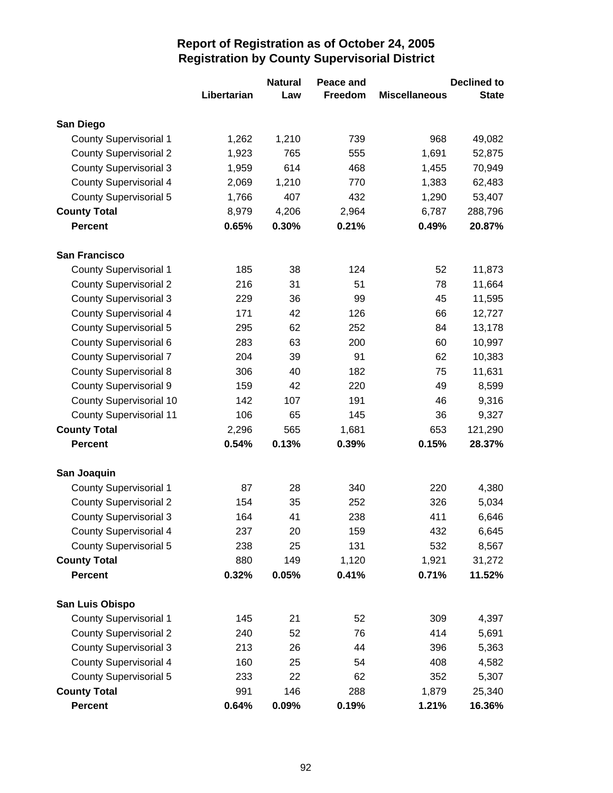|                                |             | <b>Natural</b> | Peace and |                      | <b>Declined to</b> |
|--------------------------------|-------------|----------------|-----------|----------------------|--------------------|
|                                | Libertarian | Law            | Freedom   | <b>Miscellaneous</b> | <b>State</b>       |
| San Diego                      |             |                |           |                      |                    |
| <b>County Supervisorial 1</b>  | 1,262       | 1,210          | 739       | 968                  | 49,082             |
| <b>County Supervisorial 2</b>  | 1,923       | 765            | 555       | 1,691                | 52,875             |
| <b>County Supervisorial 3</b>  | 1,959       | 614            | 468       | 1,455                | 70,949             |
| <b>County Supervisorial 4</b>  | 2,069       | 1,210          | 770       | 1,383                | 62,483             |
| <b>County Supervisorial 5</b>  | 1,766       | 407            | 432       | 1,290                | 53,407             |
| <b>County Total</b>            | 8,979       | 4,206          | 2,964     | 6,787                | 288,796            |
| <b>Percent</b>                 | 0.65%       | 0.30%          | 0.21%     | 0.49%                | 20.87%             |
| <b>San Francisco</b>           |             |                |           |                      |                    |
| <b>County Supervisorial 1</b>  | 185         | 38             | 124       | 52                   | 11,873             |
| <b>County Supervisorial 2</b>  | 216         | 31             | 51        | 78                   | 11,664             |
| <b>County Supervisorial 3</b>  | 229         | 36             | 99        | 45                   | 11,595             |
| <b>County Supervisorial 4</b>  | 171         | 42             | 126       | 66                   | 12,727             |
| <b>County Supervisorial 5</b>  | 295         | 62             | 252       | 84                   | 13,178             |
| County Supervisorial 6         | 283         | 63             | 200       | 60                   | 10,997             |
| <b>County Supervisorial 7</b>  | 204         | 39             | 91        | 62                   | 10,383             |
| <b>County Supervisorial 8</b>  | 306         | 40             | 182       | 75                   | 11,631             |
| <b>County Supervisorial 9</b>  | 159         | 42             | 220       | 49                   | 8,599              |
| <b>County Supervisorial 10</b> | 142         | 107            | 191       | 46                   | 9,316              |
| <b>County Supervisorial 11</b> | 106         | 65             | 145       | 36                   | 9,327              |
| <b>County Total</b>            | 2,296       | 565            | 1,681     | 653                  | 121,290            |
| <b>Percent</b>                 | 0.54%       | 0.13%          | 0.39%     | 0.15%                | 28.37%             |
| San Joaquin                    |             |                |           |                      |                    |
| <b>County Supervisorial 1</b>  | 87          | 28             | 340       | 220                  | 4,380              |
| <b>County Supervisorial 2</b>  | 154         | 35             | 252       | 326                  | 5,034              |
| <b>County Supervisorial 3</b>  | 164         | 41             | 238       | 411                  | 6,646              |
| <b>County Supervisorial 4</b>  | 237         | 20             | 159       | 432                  | 6,645              |
| <b>County Supervisorial 5</b>  | 238         | 25             | 131       | 532                  | 8,567              |
| <b>County Total</b>            | 880         | 149            | 1,120     | 1,921                | 31,272             |
| <b>Percent</b>                 | 0.32%       | 0.05%          | 0.41%     | 0.71%                | 11.52%             |
| San Luis Obispo                |             |                |           |                      |                    |
| <b>County Supervisorial 1</b>  | 145         | 21             | 52        | 309                  | 4,397              |
| <b>County Supervisorial 2</b>  | 240         | 52             | 76        | 414                  | 5,691              |
| <b>County Supervisorial 3</b>  | 213         | 26             | 44        | 396                  | 5,363              |
| <b>County Supervisorial 4</b>  | 160         | 25             | 54        | 408                  | 4,582              |
| <b>County Supervisorial 5</b>  | 233         | 22             | 62        | 352                  | 5,307              |
| <b>County Total</b>            | 991         | 146            | 288       | 1,879                | 25,340             |
| <b>Percent</b>                 | 0.64%       | 0.09%          | 0.19%     | 1.21%                | 16.36%             |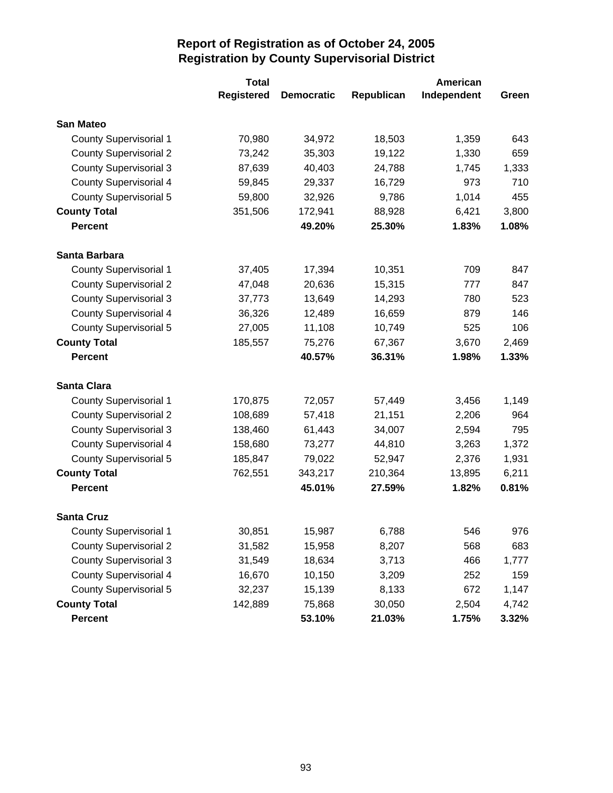|                               | <b>Total</b>      |                   |            |             |       |
|-------------------------------|-------------------|-------------------|------------|-------------|-------|
|                               | <b>Registered</b> | <b>Democratic</b> | Republican | Independent | Green |
| <b>San Mateo</b>              |                   |                   |            |             |       |
| <b>County Supervisorial 1</b> | 70,980            | 34,972            | 18,503     | 1,359       | 643   |
| <b>County Supervisorial 2</b> | 73,242            | 35,303            | 19,122     | 1,330       | 659   |
| <b>County Supervisorial 3</b> | 87,639            | 40,403            | 24,788     | 1,745       | 1,333 |
| <b>County Supervisorial 4</b> | 59,845            | 29,337            | 16,729     | 973         | 710   |
| <b>County Supervisorial 5</b> | 59,800            | 32,926            | 9,786      | 1,014       | 455   |
| <b>County Total</b>           | 351,506           | 172,941           | 88,928     | 6,421       | 3,800 |
| <b>Percent</b>                |                   | 49.20%            | 25.30%     | 1.83%       | 1.08% |
| Santa Barbara                 |                   |                   |            |             |       |
| <b>County Supervisorial 1</b> | 37,405            | 17,394            | 10,351     | 709         | 847   |
| <b>County Supervisorial 2</b> | 47,048            | 20,636            | 15,315     | 777         | 847   |
| <b>County Supervisorial 3</b> | 37,773            | 13,649            | 14,293     | 780         | 523   |
| <b>County Supervisorial 4</b> | 36,326            | 12,489            | 16,659     | 879         | 146   |
| <b>County Supervisorial 5</b> | 27,005            | 11,108            | 10,749     | 525         | 106   |
| <b>County Total</b>           | 185,557           | 75,276            | 67,367     | 3,670       | 2,469 |
| <b>Percent</b>                |                   | 40.57%            | 36.31%     | 1.98%       | 1.33% |
| <b>Santa Clara</b>            |                   |                   |            |             |       |
| <b>County Supervisorial 1</b> | 170,875           | 72,057            | 57,449     | 3,456       | 1,149 |
| <b>County Supervisorial 2</b> | 108,689           | 57,418            | 21,151     | 2,206       | 964   |
| <b>County Supervisorial 3</b> | 138,460           | 61,443            | 34,007     | 2,594       | 795   |
| <b>County Supervisorial 4</b> | 158,680           | 73,277            | 44,810     | 3,263       | 1,372 |
| <b>County Supervisorial 5</b> | 185,847           | 79,022            | 52,947     | 2,376       | 1,931 |
| <b>County Total</b>           | 762,551           | 343,217           | 210,364    | 13,895      | 6,211 |
| <b>Percent</b>                |                   | 45.01%            | 27.59%     | 1.82%       | 0.81% |
| <b>Santa Cruz</b>             |                   |                   |            |             |       |
| <b>County Supervisorial 1</b> | 30,851            | 15,987            | 6,788      | 546         | 976   |
| <b>County Supervisorial 2</b> | 31,582            | 15,958            | 8,207      | 568         | 683   |
| <b>County Supervisorial 3</b> | 31,549            | 18,634            | 3,713      | 466         | 1,777 |
| <b>County Supervisorial 4</b> | 16,670            | 10,150            | 3,209      | 252         | 159   |
| <b>County Supervisorial 5</b> | 32,237            | 15,139            | 8,133      | 672         | 1,147 |
| <b>County Total</b>           | 142,889           | 75,868            | 30,050     | 2,504       | 4,742 |
| <b>Percent</b>                |                   | 53.10%            | 21.03%     | 1.75%       | 3.32% |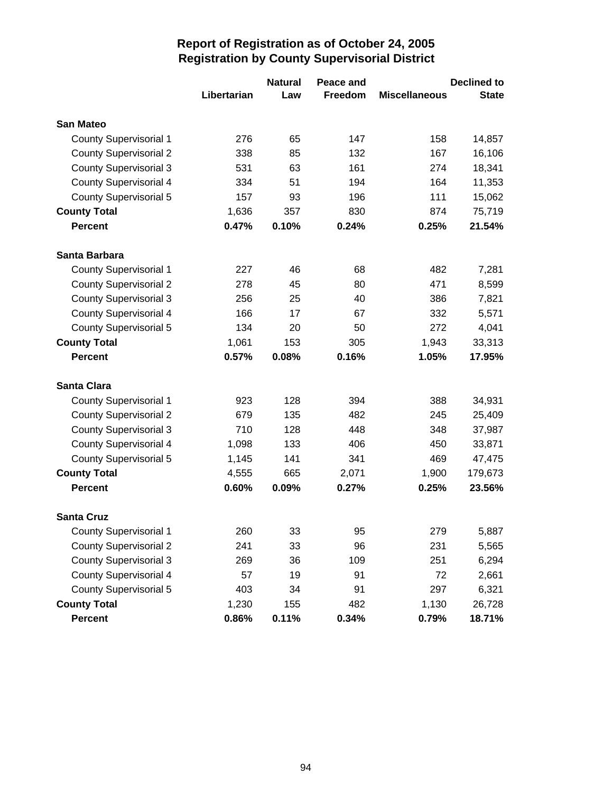|                               |             | <b>Natural</b> | Peace and      |                      | <b>Declined to</b> |
|-------------------------------|-------------|----------------|----------------|----------------------|--------------------|
|                               | Libertarian | Law            | <b>Freedom</b> | <b>Miscellaneous</b> | <b>State</b>       |
| <b>San Mateo</b>              |             |                |                |                      |                    |
| <b>County Supervisorial 1</b> | 276         | 65             | 147            | 158                  | 14,857             |
| <b>County Supervisorial 2</b> | 338         | 85             | 132            | 167                  | 16,106             |
| <b>County Supervisorial 3</b> | 531         | 63             | 161            | 274                  | 18,341             |
| <b>County Supervisorial 4</b> | 334         | 51             | 194            | 164                  | 11,353             |
| <b>County Supervisorial 5</b> | 157         | 93             | 196            | 111                  | 15,062             |
| <b>County Total</b>           | 1,636       | 357            | 830            | 874                  | 75,719             |
| <b>Percent</b>                | 0.47%       | 0.10%          | 0.24%          | 0.25%                | 21.54%             |
| Santa Barbara                 |             |                |                |                      |                    |
| <b>County Supervisorial 1</b> | 227         | 46             | 68             | 482                  | 7,281              |
| <b>County Supervisorial 2</b> | 278         | 45             | 80             | 471                  | 8,599              |
| <b>County Supervisorial 3</b> | 256         | 25             | 40             | 386                  | 7,821              |
| <b>County Supervisorial 4</b> | 166         | 17             | 67             | 332                  | 5,571              |
| <b>County Supervisorial 5</b> | 134         | 20             | 50             | 272                  | 4,041              |
| <b>County Total</b>           | 1,061       | 153            | 305            | 1,943                | 33,313             |
| <b>Percent</b>                | 0.57%       | 0.08%          | 0.16%          | 1.05%                | 17.95%             |
| <b>Santa Clara</b>            |             |                |                |                      |                    |
| <b>County Supervisorial 1</b> | 923         | 128            | 394            | 388                  | 34,931             |
| <b>County Supervisorial 2</b> | 679         | 135            | 482            | 245                  | 25,409             |
| <b>County Supervisorial 3</b> | 710         | 128            | 448            | 348                  | 37,987             |
| <b>County Supervisorial 4</b> | 1,098       | 133            | 406            | 450                  | 33,871             |
| <b>County Supervisorial 5</b> | 1,145       | 141            | 341            | 469                  | 47,475             |
| <b>County Total</b>           | 4,555       | 665            | 2,071          | 1,900                | 179,673            |
| <b>Percent</b>                | 0.60%       | 0.09%          | 0.27%          | 0.25%                | 23.56%             |
| <b>Santa Cruz</b>             |             |                |                |                      |                    |
| <b>County Supervisorial 1</b> | 260         | 33             | 95             | 279                  | 5,887              |
| <b>County Supervisorial 2</b> | 241         | 33             | 96             | 231                  | 5,565              |
| <b>County Supervisorial 3</b> | 269         | 36             | 109            | 251                  | 6,294              |
| <b>County Supervisorial 4</b> | 57          | 19             | 91             | 72                   | 2,661              |
| <b>County Supervisorial 5</b> | 403         | 34             | 91             | 297                  | 6,321              |
| <b>County Total</b>           | 1,230       | 155            | 482            | 1,130                | 26,728             |
| <b>Percent</b>                | 0.86%       | 0.11%          | 0.34%          | 0.79%                | 18.71%             |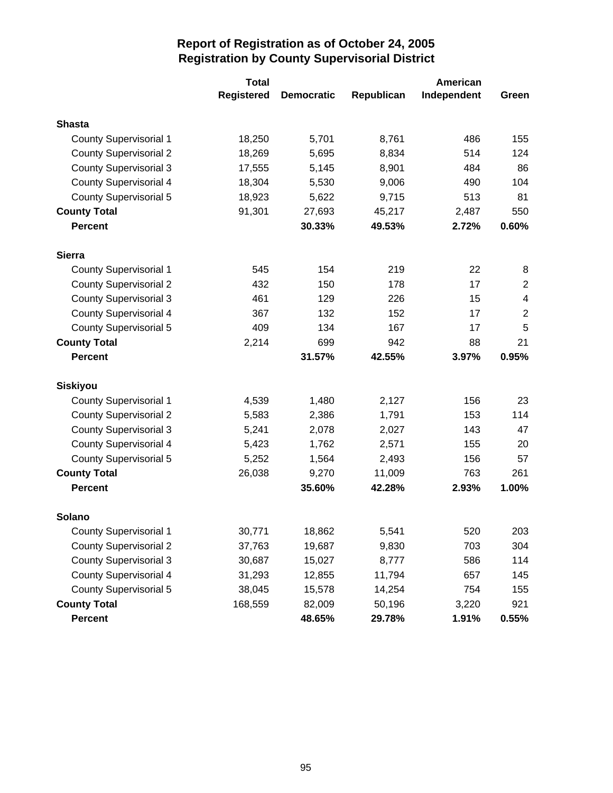|                               | <b>Total</b>      |                   | American   |             |                         |  |
|-------------------------------|-------------------|-------------------|------------|-------------|-------------------------|--|
|                               | <b>Registered</b> | <b>Democratic</b> | Republican | Independent | Green                   |  |
| <b>Shasta</b>                 |                   |                   |            |             |                         |  |
| <b>County Supervisorial 1</b> | 18,250            | 5,701             | 8,761      | 486         | 155                     |  |
| <b>County Supervisorial 2</b> | 18,269            | 5,695             | 8,834      | 514         | 124                     |  |
| <b>County Supervisorial 3</b> | 17,555            | 5,145             | 8,901      | 484         | 86                      |  |
| <b>County Supervisorial 4</b> | 18,304            | 5,530             | 9,006      | 490         | 104                     |  |
| <b>County Supervisorial 5</b> | 18,923            | 5,622             | 9,715      | 513         | 81                      |  |
| <b>County Total</b>           | 91,301            | 27,693            | 45,217     | 2,487       | 550                     |  |
| <b>Percent</b>                |                   | 30.33%            | 49.53%     | 2.72%       | 0.60%                   |  |
| <b>Sierra</b>                 |                   |                   |            |             |                         |  |
| <b>County Supervisorial 1</b> | 545               | 154               | 219        | 22          | 8                       |  |
| <b>County Supervisorial 2</b> | 432               | 150               | 178        | 17          | $\mathbf 2$             |  |
| <b>County Supervisorial 3</b> | 461               | 129               | 226        | 15          | $\overline{\mathbf{4}}$ |  |
| <b>County Supervisorial 4</b> | 367               | 132               | 152        | 17          | $\overline{2}$          |  |
| <b>County Supervisorial 5</b> | 409               | 134               | 167        | 17          | 5                       |  |
| <b>County Total</b>           | 2,214             | 699               | 942        | 88          | 21                      |  |
| <b>Percent</b>                |                   | 31.57%            | 42.55%     | 3.97%       | 0.95%                   |  |
| <b>Siskiyou</b>               |                   |                   |            |             |                         |  |
| <b>County Supervisorial 1</b> | 4,539             | 1,480             | 2,127      | 156         | 23                      |  |
| <b>County Supervisorial 2</b> | 5,583             | 2,386             | 1,791      | 153         | 114                     |  |
| <b>County Supervisorial 3</b> | 5,241             | 2,078             | 2,027      | 143         | 47                      |  |
| <b>County Supervisorial 4</b> | 5,423             | 1,762             | 2,571      | 155         | 20                      |  |
| <b>County Supervisorial 5</b> | 5,252             | 1,564             | 2,493      | 156         | 57                      |  |
| <b>County Total</b>           | 26,038            | 9,270             | 11,009     | 763         | 261                     |  |
| <b>Percent</b>                |                   | 35.60%            | 42.28%     | 2.93%       | 1.00%                   |  |
| Solano                        |                   |                   |            |             |                         |  |
| <b>County Supervisorial 1</b> | 30,771            | 18,862            | 5,541      | 520         | 203                     |  |
| <b>County Supervisorial 2</b> | 37,763            | 19,687            | 9,830      | 703         | 304                     |  |
| <b>County Supervisorial 3</b> | 30,687            | 15,027            | 8,777      | 586         | 114                     |  |
| <b>County Supervisorial 4</b> | 31,293            | 12,855            | 11,794     | 657         | 145                     |  |
| <b>County Supervisorial 5</b> | 38,045            | 15,578            | 14,254     | 754         | 155                     |  |
| <b>County Total</b>           | 168,559           | 82,009            | 50,196     | 3,220       | 921                     |  |
| <b>Percent</b>                |                   | 48.65%            | 29.78%     | 1.91%       | 0.55%                   |  |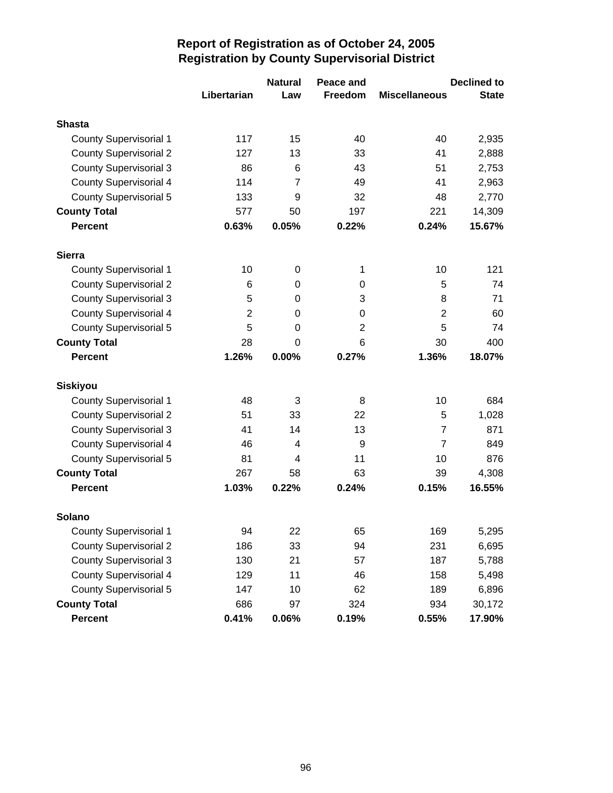|                               |                | <b>Natural</b> | Peace and      |                      | <b>Declined to</b> |
|-------------------------------|----------------|----------------|----------------|----------------------|--------------------|
|                               | Libertarian    | Law            | Freedom        | <b>Miscellaneous</b> | <b>State</b>       |
| <b>Shasta</b>                 |                |                |                |                      |                    |
| <b>County Supervisorial 1</b> | 117            | 15             | 40             | 40                   | 2,935              |
| <b>County Supervisorial 2</b> | 127            | 13             | 33             | 41                   | 2,888              |
| <b>County Supervisorial 3</b> | 86             | 6              | 43             | 51                   | 2,753              |
| <b>County Supervisorial 4</b> | 114            | $\overline{7}$ | 49             | 41                   | 2,963              |
| <b>County Supervisorial 5</b> | 133            | 9              | 32             | 48                   | 2,770              |
| <b>County Total</b>           | 577            | 50             | 197            | 221                  | 14,309             |
| <b>Percent</b>                | 0.63%          | 0.05%          | 0.22%          | 0.24%                | 15.67%             |
| <b>Sierra</b>                 |                |                |                |                      |                    |
| <b>County Supervisorial 1</b> | 10             | 0              | 1              | 10                   | 121                |
| <b>County Supervisorial 2</b> | 6              | 0              | 0              | 5                    | 74                 |
| <b>County Supervisorial 3</b> | 5              | 0              | 3              | 8                    | 71                 |
| <b>County Supervisorial 4</b> | $\overline{2}$ | 0              | 0              | $\overline{2}$       | 60                 |
| <b>County Supervisorial 5</b> | 5              | 0              | $\overline{2}$ | 5                    | 74                 |
| <b>County Total</b>           | 28             | 0              | 6              | 30                   | 400                |
| <b>Percent</b>                | 1.26%          | 0.00%          | 0.27%          | 1.36%                | 18.07%             |
| <b>Siskiyou</b>               |                |                |                |                      |                    |
| <b>County Supervisorial 1</b> | 48             | 3              | 8              | 10                   | 684                |
| <b>County Supervisorial 2</b> | 51             | 33             | 22             | 5                    | 1,028              |
| <b>County Supervisorial 3</b> | 41             | 14             | 13             | $\overline{7}$       | 871                |
| <b>County Supervisorial 4</b> | 46             | 4              | 9              | $\overline{7}$       | 849                |
| <b>County Supervisorial 5</b> | 81             | 4              | 11             | 10                   | 876                |
| <b>County Total</b>           | 267            | 58             | 63             | 39                   | 4,308              |
| <b>Percent</b>                | 1.03%          | 0.22%          | 0.24%          | 0.15%                | 16.55%             |
| Solano                        |                |                |                |                      |                    |
| <b>County Supervisorial 1</b> | 94             | 22             | 65             | 169                  | 5,295              |
| <b>County Supervisorial 2</b> | 186            | 33             | 94             | 231                  | 6,695              |
| <b>County Supervisorial 3</b> | 130            | 21             | 57             | 187                  | 5,788              |
| <b>County Supervisorial 4</b> | 129            | 11             | 46             | 158                  | 5,498              |
| <b>County Supervisorial 5</b> | 147            | 10             | 62             | 189                  | 6,896              |
| <b>County Total</b>           | 686            | 97             | 324            | 934                  | 30,172             |
| <b>Percent</b>                | 0.41%          | 0.06%          | 0.19%          | 0.55%                | 17.90%             |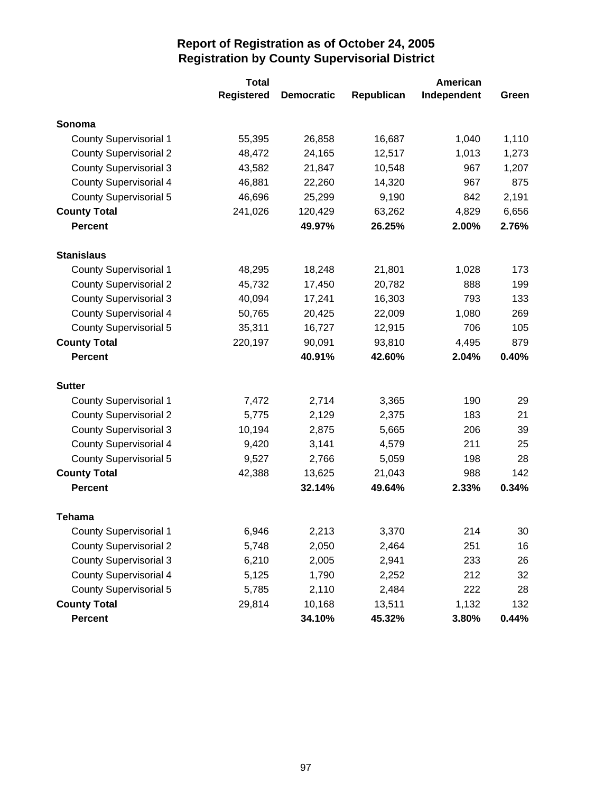|                               | <b>Total</b>      |                   |            | American    |       |  |
|-------------------------------|-------------------|-------------------|------------|-------------|-------|--|
|                               | <b>Registered</b> | <b>Democratic</b> | Republican | Independent | Green |  |
| Sonoma                        |                   |                   |            |             |       |  |
| <b>County Supervisorial 1</b> | 55,395            | 26,858            | 16,687     | 1,040       | 1,110 |  |
| <b>County Supervisorial 2</b> | 48,472            | 24,165            | 12,517     | 1,013       | 1,273 |  |
| <b>County Supervisorial 3</b> | 43,582            | 21,847            | 10,548     | 967         | 1,207 |  |
| <b>County Supervisorial 4</b> | 46,881            | 22,260            | 14,320     | 967         | 875   |  |
| <b>County Supervisorial 5</b> | 46,696            | 25,299            | 9,190      | 842         | 2,191 |  |
| <b>County Total</b>           | 241,026           | 120,429           | 63,262     | 4,829       | 6,656 |  |
| <b>Percent</b>                |                   | 49.97%            | 26.25%     | 2.00%       | 2.76% |  |
| <b>Stanislaus</b>             |                   |                   |            |             |       |  |
| <b>County Supervisorial 1</b> | 48,295            | 18,248            | 21,801     | 1,028       | 173   |  |
| <b>County Supervisorial 2</b> | 45,732            | 17,450            | 20,782     | 888         | 199   |  |
| <b>County Supervisorial 3</b> | 40,094            | 17,241            | 16,303     | 793         | 133   |  |
| <b>County Supervisorial 4</b> | 50,765            | 20,425            | 22,009     | 1,080       | 269   |  |
| <b>County Supervisorial 5</b> | 35,311            | 16,727            | 12,915     | 706         | 105   |  |
| <b>County Total</b>           | 220,197           | 90,091            | 93,810     | 4,495       | 879   |  |
| <b>Percent</b>                |                   | 40.91%            | 42.60%     | 2.04%       | 0.40% |  |
| <b>Sutter</b>                 |                   |                   |            |             |       |  |
| <b>County Supervisorial 1</b> | 7,472             | 2,714             | 3,365      | 190         | 29    |  |
| <b>County Supervisorial 2</b> | 5,775             | 2,129             | 2,375      | 183         | 21    |  |
| <b>County Supervisorial 3</b> | 10,194            | 2,875             | 5,665      | 206         | 39    |  |
| <b>County Supervisorial 4</b> | 9,420             | 3,141             | 4,579      | 211         | 25    |  |
| <b>County Supervisorial 5</b> | 9,527             | 2,766             | 5,059      | 198         | 28    |  |
| <b>County Total</b>           | 42,388            | 13,625            | 21,043     | 988         | 142   |  |
| <b>Percent</b>                |                   | 32.14%            | 49.64%     | 2.33%       | 0.34% |  |
| Tehama                        |                   |                   |            |             |       |  |
| <b>County Supervisorial 1</b> | 6,946             | 2,213             | 3,370      | 214         | 30    |  |
| <b>County Supervisorial 2</b> | 5,748             | 2,050             | 2,464      | 251         | 16    |  |
| <b>County Supervisorial 3</b> | 6,210             | 2,005             | 2,941      | 233         | 26    |  |
| <b>County Supervisorial 4</b> | 5,125             | 1,790             | 2,252      | 212         | 32    |  |
| <b>County Supervisorial 5</b> | 5,785             | 2,110             | 2,484      | 222         | 28    |  |
| <b>County Total</b>           | 29,814            | 10,168            | 13,511     | 1,132       | 132   |  |
| <b>Percent</b>                |                   | 34.10%            | 45.32%     | 3.80%       | 0.44% |  |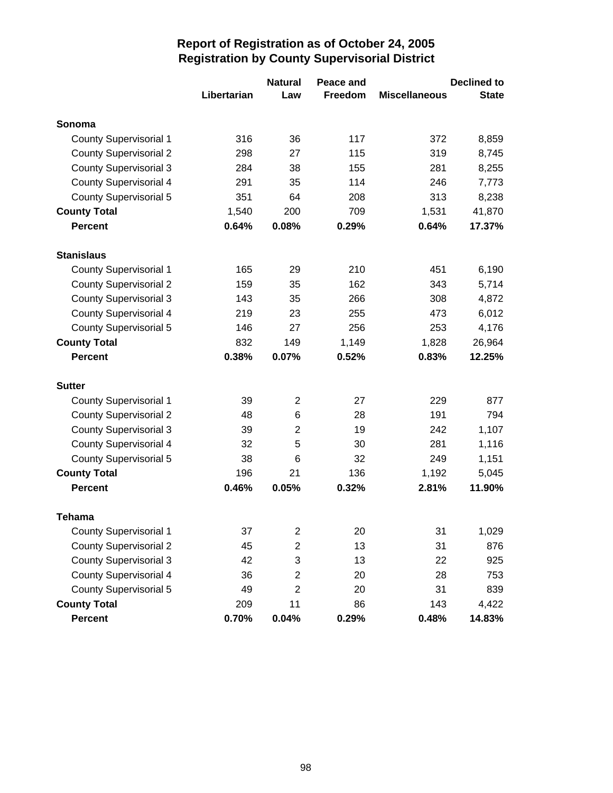|                               |             | <b>Natural</b>          | Peace and      |                      | <b>Declined to</b> |
|-------------------------------|-------------|-------------------------|----------------|----------------------|--------------------|
|                               | Libertarian | Law                     | <b>Freedom</b> | <b>Miscellaneous</b> | <b>State</b>       |
| Sonoma                        |             |                         |                |                      |                    |
| <b>County Supervisorial 1</b> | 316         | 36                      | 117            | 372                  | 8,859              |
| <b>County Supervisorial 2</b> | 298         | 27                      | 115            | 319                  | 8,745              |
| <b>County Supervisorial 3</b> | 284         | 38                      | 155            | 281                  | 8,255              |
| <b>County Supervisorial 4</b> | 291         | 35                      | 114            | 246                  | 7,773              |
| <b>County Supervisorial 5</b> | 351         | 64                      | 208            | 313                  | 8,238              |
| <b>County Total</b>           | 1,540       | 200                     | 709            | 1,531                | 41,870             |
| <b>Percent</b>                | 0.64%       | 0.08%                   | 0.29%          | 0.64%                | 17.37%             |
| <b>Stanislaus</b>             |             |                         |                |                      |                    |
| <b>County Supervisorial 1</b> | 165         | 29                      | 210            | 451                  | 6,190              |
| <b>County Supervisorial 2</b> | 159         | 35                      | 162            | 343                  | 5,714              |
| <b>County Supervisorial 3</b> | 143         | 35                      | 266            | 308                  | 4,872              |
| <b>County Supervisorial 4</b> | 219         | 23                      | 255            | 473                  | 6,012              |
| <b>County Supervisorial 5</b> | 146         | 27                      | 256            | 253                  | 4,176              |
| <b>County Total</b>           | 832         | 149                     | 1,149          | 1,828                | 26,964             |
| <b>Percent</b>                | 0.38%       | 0.07%                   | 0.52%          | 0.83%                | 12.25%             |
| <b>Sutter</b>                 |             |                         |                |                      |                    |
| <b>County Supervisorial 1</b> | 39          | $\overline{2}$          | 27             | 229                  | 877                |
| <b>County Supervisorial 2</b> | 48          | 6                       | 28             | 191                  | 794                |
| <b>County Supervisorial 3</b> | 39          | $\overline{2}$          | 19             | 242                  | 1,107              |
| County Supervisorial 4        | 32          | 5                       | 30             | 281                  | 1,116              |
| <b>County Supervisorial 5</b> | 38          | 6                       | 32             | 249                  | 1,151              |
| <b>County Total</b>           | 196         | 21                      | 136            | 1,192                | 5,045              |
| <b>Percent</b>                | 0.46%       | 0.05%                   | 0.32%          | 2.81%                | 11.90%             |
| Tehama                        |             |                         |                |                      |                    |
| <b>County Supervisorial 1</b> | 37          | $\overline{\mathbf{c}}$ | 20             | 31                   | 1,029              |
| <b>County Supervisorial 2</b> | 45          | $\overline{\mathbf{c}}$ | 13             | 31                   | 876                |
| <b>County Supervisorial 3</b> | 42          | 3                       | 13             | 22                   | 925                |
| <b>County Supervisorial 4</b> | 36          | $\overline{\mathbf{c}}$ | 20             | 28                   | 753                |
| County Supervisorial 5        | 49          | $\overline{2}$          | 20             | 31                   | 839                |
| <b>County Total</b>           | 209         | 11                      | 86             | 143                  | 4,422              |
| <b>Percent</b>                | 0.70%       | 0.04%                   | 0.29%          | 0.48%                | 14.83%             |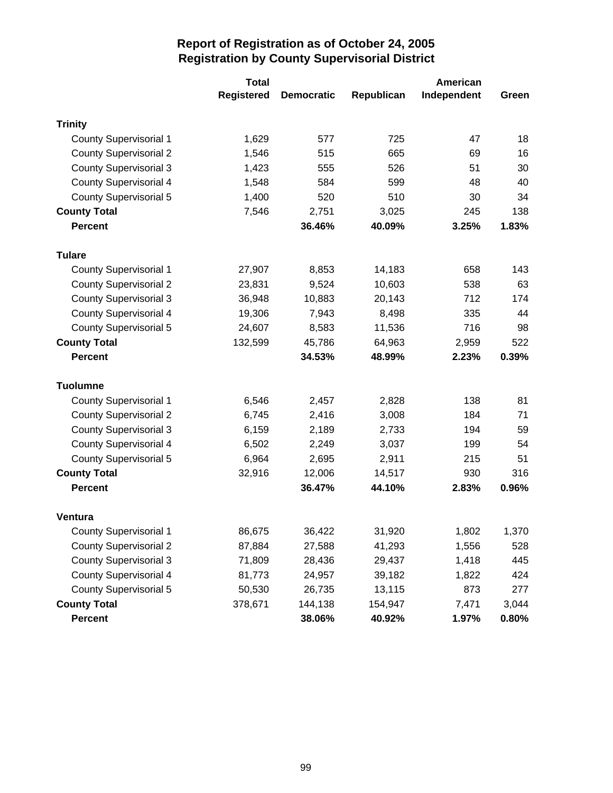|                               | <b>Total</b>      |                   |            | American    |          |  |
|-------------------------------|-------------------|-------------------|------------|-------------|----------|--|
|                               | <b>Registered</b> | <b>Democratic</b> | Republican | Independent | Green    |  |
| <b>Trinity</b>                |                   |                   |            |             |          |  |
| <b>County Supervisorial 1</b> | 1,629             | 577               | 725        | 47          | 18       |  |
| <b>County Supervisorial 2</b> | 1,546             | 515               | 665        | 69          | 16       |  |
| <b>County Supervisorial 3</b> | 1,423             | 555               | 526        | 51          | 30       |  |
| <b>County Supervisorial 4</b> | 1,548             | 584               | 599        | 48          | 40       |  |
| <b>County Supervisorial 5</b> | 1,400             | 520               | 510        | 30          | 34       |  |
| <b>County Total</b>           | 7,546             | 2,751             | 3,025      | 245         | 138      |  |
| <b>Percent</b>                |                   | 36.46%            | 40.09%     | 3.25%       | 1.83%    |  |
| <b>Tulare</b>                 |                   |                   |            |             |          |  |
| <b>County Supervisorial 1</b> | 27,907            | 8,853             | 14,183     | 658         | 143      |  |
| <b>County Supervisorial 2</b> | 23,831            | 9,524             | 10,603     | 538         | 63       |  |
| <b>County Supervisorial 3</b> | 36,948            | 10,883            | 20,143     | 712         | 174      |  |
| <b>County Supervisorial 4</b> | 19,306            | 7,943             | 8,498      | 335         | 44       |  |
| County Supervisorial 5        | 24,607            | 8,583             | 11,536     | 716         | 98       |  |
| <b>County Total</b>           | 132,599           | 45,786            | 64,963     | 2,959       | 522      |  |
| <b>Percent</b>                |                   | 34.53%            | 48.99%     | 2.23%       | 0.39%    |  |
| <b>Tuolumne</b>               |                   |                   |            |             |          |  |
| <b>County Supervisorial 1</b> | 6,546             | 2,457             | 2,828      | 138         | 81       |  |
| <b>County Supervisorial 2</b> | 6,745             | 2,416             | 3,008      | 184         | 71       |  |
| <b>County Supervisorial 3</b> | 6,159             | 2,189             | 2,733      | 194         | 59       |  |
| <b>County Supervisorial 4</b> | 6,502             | 2,249             | 3,037      | 199         | 54       |  |
| <b>County Supervisorial 5</b> | 6,964             | 2,695             | 2,911      | 215         | 51       |  |
| <b>County Total</b>           | 32,916            | 12,006            | 14,517     | 930         | 316      |  |
| <b>Percent</b>                |                   | 36.47%            | 44.10%     | 2.83%       | 0.96%    |  |
| <b>Ventura</b>                |                   |                   |            |             |          |  |
| <b>County Supervisorial 1</b> | 86,675            | 36,422            | 31,920     | 1,802       | 1,370    |  |
| <b>County Supervisorial 2</b> | 87,884            | 27,588            | 41,293     | 1,556       | 528      |  |
| <b>County Supervisorial 3</b> | 71,809            | 28,436            | 29,437     | 1,418       | 445      |  |
| <b>County Supervisorial 4</b> | 81,773            | 24,957            | 39,182     | 1,822       | 424      |  |
| <b>County Supervisorial 5</b> | 50,530            | 26,735            | 13,115     | 873         | 277      |  |
| <b>County Total</b>           | 378,671           | 144,138           | 154,947    | 7,471       | 3,044    |  |
| Percent                       |                   | 38.06%            | 40.92%     | 1.97%       | $0.80\%$ |  |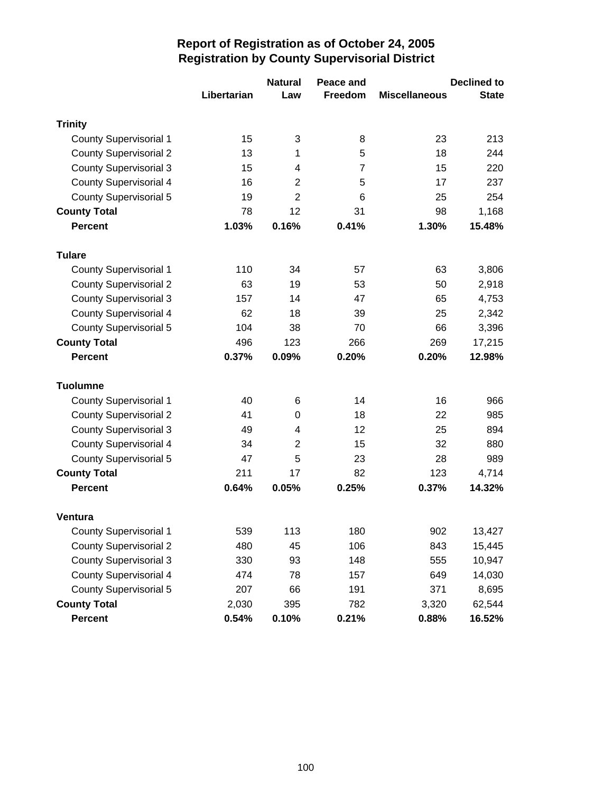|                               |             | <b>Natural</b> | Peace and      |                      | <b>Declined to</b> |
|-------------------------------|-------------|----------------|----------------|----------------------|--------------------|
|                               | Libertarian | Law            | <b>Freedom</b> | <b>Miscellaneous</b> | <b>State</b>       |
| <b>Trinity</b>                |             |                |                |                      |                    |
| <b>County Supervisorial 1</b> | 15          | 3              | 8              | 23                   | 213                |
| <b>County Supervisorial 2</b> | 13          | 1              | 5              | 18                   | 244                |
| <b>County Supervisorial 3</b> | 15          | 4              | $\overline{7}$ | 15                   | 220                |
| <b>County Supervisorial 4</b> | 16          | $\overline{c}$ | 5              | 17                   | 237                |
| <b>County Supervisorial 5</b> | 19          | $\overline{2}$ | 6              | 25                   | 254                |
| <b>County Total</b>           | 78          | 12             | 31             | 98                   | 1,168              |
| <b>Percent</b>                | 1.03%       | 0.16%          | 0.41%          | 1.30%                | 15.48%             |
| <b>Tulare</b>                 |             |                |                |                      |                    |
| <b>County Supervisorial 1</b> | 110         | 34             | 57             | 63                   | 3,806              |
| <b>County Supervisorial 2</b> | 63          | 19             | 53             | 50                   | 2,918              |
| <b>County Supervisorial 3</b> | 157         | 14             | 47             | 65                   | 4,753              |
| <b>County Supervisorial 4</b> | 62          | 18             | 39             | 25                   | 2,342              |
| <b>County Supervisorial 5</b> | 104         | 38             | 70             | 66                   | 3,396              |
| <b>County Total</b>           | 496         | 123            | 266            | 269                  | 17,215             |
| <b>Percent</b>                | 0.37%       | 0.09%          | 0.20%          | 0.20%                | 12.98%             |
| <b>Tuolumne</b>               |             |                |                |                      |                    |
| <b>County Supervisorial 1</b> | 40          | 6              | 14             | 16                   | 966                |
| <b>County Supervisorial 2</b> | 41          | 0              | 18             | 22                   | 985                |
| <b>County Supervisorial 3</b> | 49          | 4              | 12             | 25                   | 894                |
| County Supervisorial 4        | 34          | $\overline{2}$ | 15             | 32                   | 880                |
| <b>County Supervisorial 5</b> | 47          | 5              | 23             | 28                   | 989                |
| <b>County Total</b>           | 211         | 17             | 82             | 123                  | 4,714              |
| <b>Percent</b>                | 0.64%       | 0.05%          | 0.25%          | 0.37%                | 14.32%             |
| <b>Ventura</b>                |             |                |                |                      |                    |
| <b>County Supervisorial 1</b> | 539         | 113            | 180            | 902                  | 13,427             |
| <b>County Supervisorial 2</b> | 480         | 45             | 106            | 843                  | 15,445             |
| <b>County Supervisorial 3</b> | 330         | 93             | 148            | 555                  | 10,947             |
| <b>County Supervisorial 4</b> | 474         | 78             | 157            | 649                  | 14,030             |
| <b>County Supervisorial 5</b> | 207         | 66             | 191            | 371                  | 8,695              |
| <b>County Total</b>           | 2,030       | 395            | 782            | 3,320                | 62,544             |
| Percent                       | 0.54%       | 0.10%          | 0.21%          | 0.88%                | 16.52%             |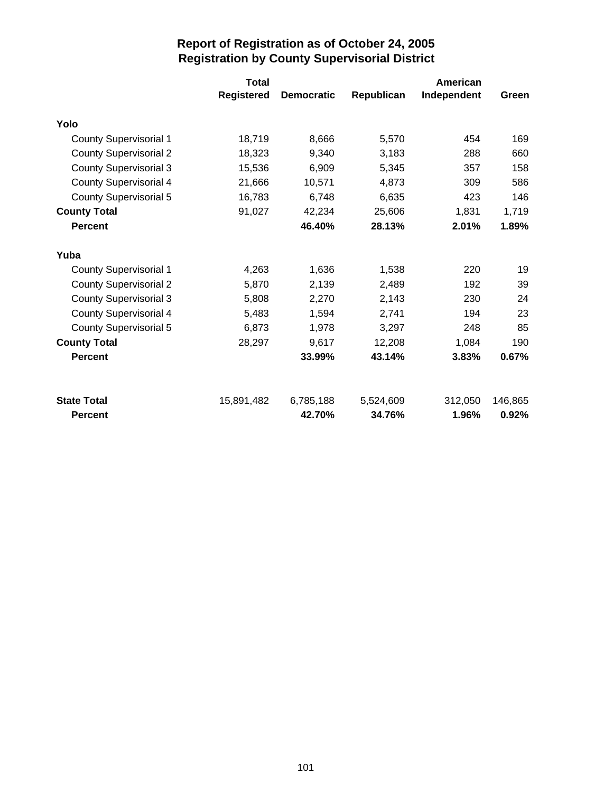|                                      | <b>Total</b>      |                     |                     | American         |                  |
|--------------------------------------|-------------------|---------------------|---------------------|------------------|------------------|
|                                      | <b>Registered</b> | <b>Democratic</b>   | Republican          | Independent      | Green            |
| Yolo                                 |                   |                     |                     |                  |                  |
| <b>County Supervisorial 1</b>        | 18,719            | 8,666               | 5,570               | 454              | 169              |
| <b>County Supervisorial 2</b>        | 18,323            | 9,340               | 3,183               | 288              | 660              |
| <b>County Supervisorial 3</b>        | 15,536            | 6,909               | 5,345               | 357              | 158              |
| <b>County Supervisorial 4</b>        | 21,666            | 10,571              | 4,873               | 309              | 586              |
| <b>County Supervisorial 5</b>        | 16,783            | 6,748               | 6,635               | 423              | 146              |
| <b>County Total</b>                  | 91,027            | 42,234              | 25,606              | 1,831            | 1,719            |
| <b>Percent</b>                       |                   | 46.40%              | 28.13%              | 2.01%            | 1.89%            |
| Yuba                                 |                   |                     |                     |                  |                  |
| <b>County Supervisorial 1</b>        | 4,263             | 1,636               | 1,538               | 220              | 19               |
| <b>County Supervisorial 2</b>        | 5,870             | 2,139               | 2,489               | 192              | 39               |
| <b>County Supervisorial 3</b>        | 5,808             | 2,270               | 2,143               | 230              | 24               |
| <b>County Supervisorial 4</b>        | 5,483             | 1,594               | 2,741               | 194              | 23               |
| County Supervisorial 5               | 6,873             | 1,978               | 3,297               | 248              | 85               |
| <b>County Total</b>                  | 28,297            | 9,617               | 12,208              | 1,084            | 190              |
| <b>Percent</b>                       |                   | 33.99%              | 43.14%              | 3.83%            | 0.67%            |
|                                      |                   |                     |                     |                  |                  |
|                                      |                   |                     |                     |                  |                  |
| <b>State Total</b><br><b>Percent</b> | 15,891,482        | 6,785,188<br>42.70% | 5,524,609<br>34.76% | 312,050<br>1.96% | 146,865<br>0.92% |